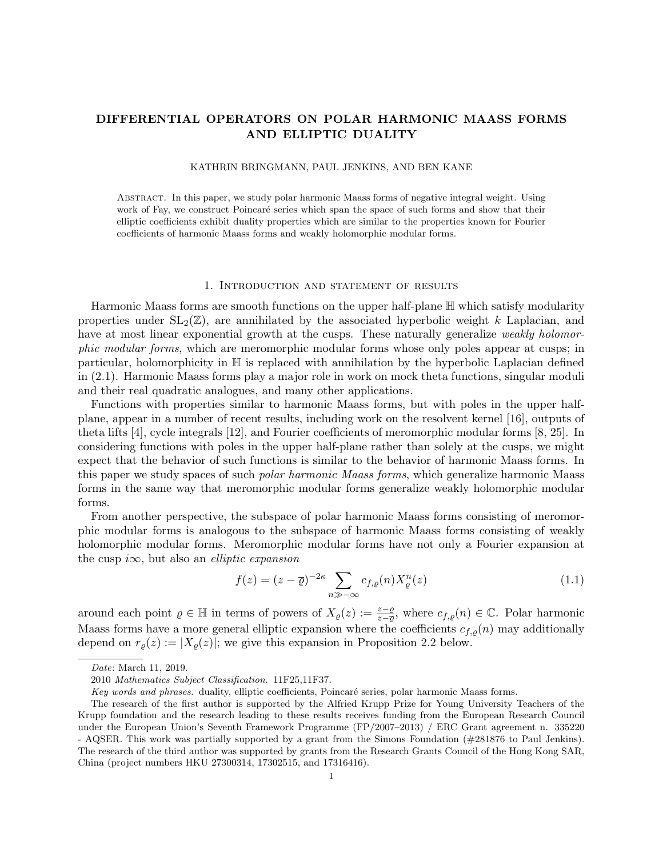# DIFFERENTIAL OPERATORS ON POLAR HARMONIC MAASS FORMS AND ELLIPTIC DUALITY

### KATHRIN BRINGMANN, PAUL JENKINS, AND BEN KANE

Abstract. In this paper, we study polar harmonic Maass forms of negative integral weight. Using work of Fay, we construct Poincaré series which span the space of such forms and show that their elliptic coefficients exhibit duality properties which are similar to the properties known for Fourier coefficients of harmonic Maass forms and weakly holomorphic modular forms.

#### 1. Introduction and statement of results

Harmonic Maass forms are smooth functions on the upper half-plane H which satisfy modularity properties under  $SL_2(\mathbb{Z})$ , are annihilated by the associated hyperbolic weight k Laplacian, and have at most linear exponential growth at the cusps. These naturally generalize weakly holomorphic modular forms, which are meromorphic modular forms whose only poles appear at cusps; in particular, holomorphicity in H is replaced with annihilation by the hyperbolic Laplacian defined in (2.1). Harmonic Maass forms play a major role in work on mock theta functions, singular moduli and their real quadratic analogues, and many other applications.

Functions with properties similar to harmonic Maass forms, but with poles in the upper halfplane, appear in a number of recent results, including work on the resolvent kernel [16], outputs of theta lifts [4], cycle integrals [12], and Fourier coefficients of meromorphic modular forms [8, 25]. In considering functions with poles in the upper half-plane rather than solely at the cusps, we might expect that the behavior of such functions is similar to the behavior of harmonic Maass forms. In this paper we study spaces of such polar harmonic Maass forms, which generalize harmonic Maass forms in the same way that meromorphic modular forms generalize weakly holomorphic modular forms.

From another perspective, the subspace of polar harmonic Maass forms consisting of meromorphic modular forms is analogous to the subspace of harmonic Maass forms consisting of weakly holomorphic modular forms. Meromorphic modular forms have not only a Fourier expansion at the cusp i $\infty$ , but also an *elliptic expansion* 

$$
f(z) = (z - \overline{\varrho})^{-2\kappa} \sum_{n \gg -\infty} c_{f,\varrho}(n) X_{\varrho}^n(z)
$$
\n(1.1)

around each point  $\varrho \in \mathbb{H}$  in terms of powers of  $X_{\varrho}(z) := \frac{z-\varrho}{z-\overline{\varrho}}$ , where  $c_{f,\varrho}(n) \in \mathbb{C}$ . Polar harmonic Maass forms have a more general elliptic expansion where the coefficients  $c_{f,\rho}(n)$  may additionally depend on  $r_{\rho}(z) := |X_{\rho}(z)|$ ; we give this expansion in Proposition 2.2 below.

Date: March 11, 2019.

<sup>2010</sup> Mathematics Subject Classification. 11F25,11F37.

Key words and phrases. duality, elliptic coefficients, Poincaré series, polar harmonic Maass forms.

The research of the first author is supported by the Alfried Krupp Prize for Young University Teachers of the Krupp foundation and the research leading to these results receives funding from the European Research Council under the European Union's Seventh Framework Programme (FP/2007–2013) / ERC Grant agreement n. 335220 - AQSER. This work was partially supported by a grant from the Simons Foundation (#281876 to Paul Jenkins). The research of the third author was supported by grants from the Research Grants Council of the Hong Kong SAR, China (project numbers HKU 27300314, 17302515, and 17316416).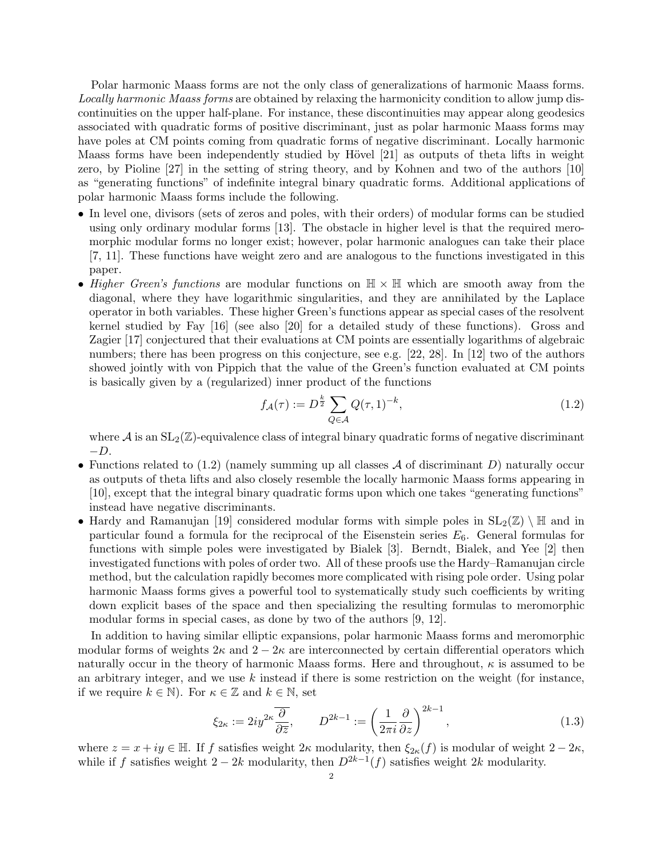Polar harmonic Maass forms are not the only class of generalizations of harmonic Maass forms. Locally harmonic Maass forms are obtained by relaxing the harmonicity condition to allow jump discontinuities on the upper half-plane. For instance, these discontinuities may appear along geodesics associated with quadratic forms of positive discriminant, just as polar harmonic Maass forms may have poles at CM points coming from quadratic forms of negative discriminant. Locally harmonic Maass forms have been independently studied by Hövel [21] as outputs of theta lifts in weight zero, by Pioline [27] in the setting of string theory, and by Kohnen and two of the authors [10] as "generating functions" of indefinite integral binary quadratic forms. Additional applications of polar harmonic Maass forms include the following.

- In level one, divisors (sets of zeros and poles, with their orders) of modular forms can be studied using only ordinary modular forms [13]. The obstacle in higher level is that the required meromorphic modular forms no longer exist; however, polar harmonic analogues can take their place [7, 11]. These functions have weight zero and are analogous to the functions investigated in this paper.
- Higher Green's functions are modular functions on  $\mathbb{H} \times \mathbb{H}$  which are smooth away from the diagonal, where they have logarithmic singularities, and they are annihilated by the Laplace operator in both variables. These higher Green's functions appear as special cases of the resolvent kernel studied by Fay [16] (see also [20] for a detailed study of these functions). Gross and Zagier [17] conjectured that their evaluations at CM points are essentially logarithms of algebraic numbers; there has been progress on this conjecture, see e.g. [22, 28]. In [12] two of the authors showed jointly with von Pippich that the value of the Green's function evaluated at CM points is basically given by a (regularized) inner product of the functions

$$
f_{\mathcal{A}}(\tau) := D^{\frac{k}{2}} \sum_{Q \in \mathcal{A}} Q(\tau, 1)^{-k}, \tag{1.2}
$$

where  $\mathcal A$  is an  $SL_2(\mathbb Z)$ -equivalence class of integral binary quadratic forms of negative discriminant  $-D.$ 

- Functions related to  $(1.2)$  (namely summing up all classes A of discriminant D) naturally occur as outputs of theta lifts and also closely resemble the locally harmonic Maass forms appearing in [10], except that the integral binary quadratic forms upon which one takes "generating functions" instead have negative discriminants.
- Hardy and Ramanujan [19] considered modular forms with simple poles in  $SL_2(\mathbb{Z}) \setminus \mathbb{H}$  and in particular found a formula for the reciprocal of the Eisenstein series  $E_6$ . General formulas for functions with simple poles were investigated by Bialek [3]. Berndt, Bialek, and Yee [2] then investigated functions with poles of order two. All of these proofs use the Hardy–Ramanujan circle method, but the calculation rapidly becomes more complicated with rising pole order. Using polar harmonic Maass forms gives a powerful tool to systematically study such coefficients by writing down explicit bases of the space and then specializing the resulting formulas to meromorphic modular forms in special cases, as done by two of the authors [9, 12].

In addition to having similar elliptic expansions, polar harmonic Maass forms and meromorphic modular forms of weights  $2\kappa$  and  $2-2\kappa$  are interconnected by certain differential operators which naturally occur in the theory of harmonic Maass forms. Here and throughout,  $\kappa$  is assumed to be an arbitrary integer, and we use  $k$  instead if there is some restriction on the weight (for instance, if we require  $k \in \mathbb{N}$ . For  $\kappa \in \mathbb{Z}$  and  $k \in \mathbb{N}$ , set

$$
\xi_{2\kappa} := 2iy^{2\kappa} \frac{\overline{\partial}}{\partial \overline{z}}, \qquad D^{2k-1} := \left(\frac{1}{2\pi i} \frac{\partial}{\partial z}\right)^{2k-1},\tag{1.3}
$$

where  $z = x + iy \in \mathbb{H}$ . If f satisfies weight  $2\kappa$  modularity, then  $\xi_{2\kappa}(f)$  is modular of weight  $2 - 2\kappa$ , while if f satisfies weight  $2 - 2k$  modularity, then  $D^{2k-1}(f)$  satisfies weight 2k modularity.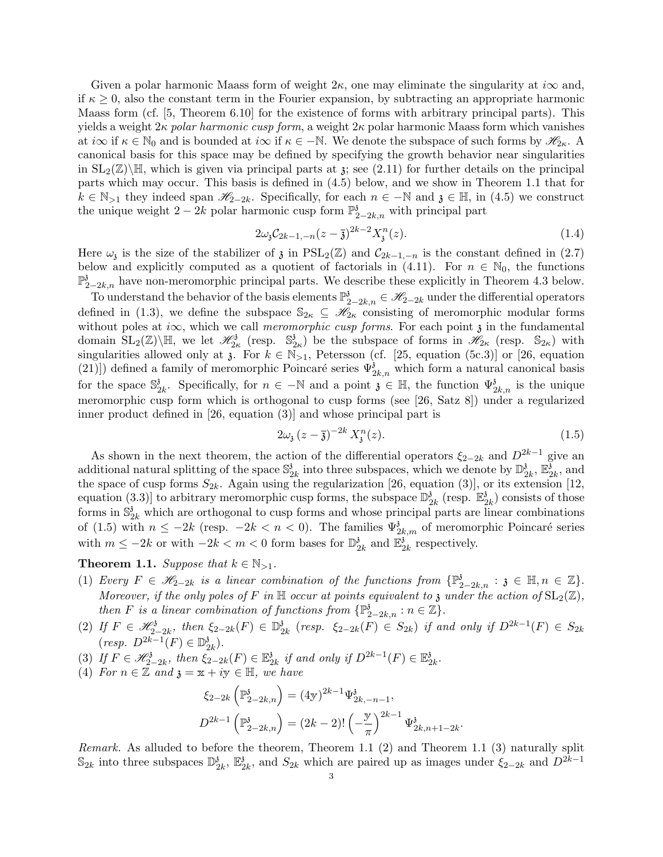Given a polar harmonic Maass form of weight  $2\kappa$ , one may eliminate the singularity at  $i\infty$  and, if  $\kappa \geq 0$ , also the constant term in the Fourier expansion, by subtracting an appropriate harmonic Maass form (cf. [5, Theorem 6.10] for the existence of forms with arbitrary principal parts). This yields a weight  $2\kappa$  polar harmonic cusp form, a weight  $2\kappa$  polar harmonic Maass form which vanishes at  $i\infty$  if  $\kappa \in \mathbb{N}_0$  and is bounded at  $i\infty$  if  $\kappa \in -\mathbb{N}$ . We denote the subspace of such forms by  $\mathscr{H}_{2\kappa}$ . A canonical basis for this space may be defined by specifying the growth behavior near singularities in  $SL_2(\mathbb{Z})\backslash\mathbb{H}$ , which is given via principal parts at  $\chi$ ; see (2.11) for further details on the principal parts which may occur. This basis is defined in (4.5) below, and we show in Theorem 1.1 that for  $k \in \mathbb{N}_{>1}$  they indeed span  $\mathscr{H}_{2-2k}$ . Specifically, for each  $n \in \mathbb{N}$  and  $\mathfrak{z} \in \mathbb{H}$ , in (4.5) we construct the unique weight 2 – 2k polar harmonic cusp form  $\mathbb{P}^3_{2-2k,n}$  with principal part

$$
2\omega_{3}C_{2k-1,-n}(z-\overline{3})^{2k-2}X_{3}^{n}(z).
$$
\n(1.4)

Here  $\omega_i$  is the size of the stabilizer of  $\mathfrak z$  in PSL<sub>2</sub>( $\mathbb Z$ ) and  $\mathcal C_{2k-1,-n}$  is the constant defined in (2.7) below and explicitly computed as a quotient of factorials in (4.11). For  $n \in \mathbb{N}_0$ , the functions  $\mathbb{P}^3_{2-2k,n}$  have non-meromorphic principal parts. We describe these explicitly in Theorem 4.3 below.

To understand the behavior of the basis elements  $\mathbb{P}^3_{2-2k,n} \in \mathscr{H}_{2-2k}$  under the differential operators defined in (1.3), we define the subspace  $\mathbb{S}_{2\kappa} \subseteq \mathscr{H}_{2\kappa}$  consisting of meromorphic modular forms without poles at i $\infty$ , which we call *meromorphic cusp forms*. For each point  $\chi$  in the fundamental domain  $SL_2(\mathbb{Z})\backslash\mathbb{H}$ , we let  $\mathscr{H}_{2\kappa}^3$  (resp.  $\mathbb{S}_2^3$  $\left(\frac{3}{2\kappa}\right)$  be the subspace of forms in  $\mathscr{H}_{2\kappa}$  (resp.  $\mathbb{S}_{2\kappa}$ ) with singularities allowed only at  $\chi$ . For  $k \in \mathbb{N}_{>1}$ , Petersson (cf. [25, equation (5c.3)] or [26, equation (21)]) defined a family of meromorphic Poincaré series  $\Psi^{\delta}_{2k,n}$  which form a natural canonical basis for the space  $\mathbb{S}^3$  $\mathcal{L}_{2k}^{\delta}$ . Specifically, for  $n \in \mathbb{N}$  and a point  $\mathfrak{z} \in \mathbb{H}$ , the function  $\Psi_{2k,n}^{\delta}$  is the unique meromorphic cusp form which is orthogonal to cusp forms (see [26, Satz 8]) under a regularized inner product defined in [26, equation (3)] and whose principal part is

$$
2\omega_{3}(z-\bar{3})^{-2k}X_{3}^{n}(z). \tag{1.5}
$$

As shown in the next theorem, the action of the differential operators  $\xi_{2-2k}$  and  $D^{2k-1}$  give an additional natural splitting of the space  $\mathbb{S}^3$  $\frac{3}{2k}$  into three subspaces, which we denote by  $\mathbb{D}_2^3$  $\frac{3}{2k}, \overline{\mathbb{E}_2^3}$  $\frac{3}{2k}$ , and the space of cusp forms  $S_{2k}$ . Again using the regularization [26, equation (3)], or its extension [12, equation (3.3)] to arbitrary meromorphic cusp forms, the subspace  $\mathbb{D}^3$  $\frac{3}{2k}$  (resp.  $\mathbb{E}_{2}^{3}$  $\binom{3}{2k}$  consists of those forms in  $\mathbb{S}_{2k}^i$  which are orthogonal to cusp forms and whose principal parts are linear combinations of (1.5) with  $n \leq -2k$  (resp.  $-2k < n < 0$ ). The families  $\Psi_{2k,m}^{3}$  of meromorphic Poincaré series with  $m \leq -2k$  or with  $-2k < m < 0$  form bases for  $\mathbb{D}_5^3$  $\frac{3}{2k}$  and  $\mathbb{E}_2^3$  $\frac{3}{2k}$  respectively.

## **Theorem 1.1.** Suppose that  $k \in \mathbb{N}_{>1}$ .

- (1) Every  $F \in \mathscr{H}_{2-2k}$  is a linear combination of the functions from  $\{\mathbb{P}^3_{2-2k,n} : \mathfrak{z} \in \mathbb{H}, n \in \mathbb{Z}\}.$ Moreover, if the only poles of F in  $\mathbb H$  occur at points equivalent to z under the action of  $\mathrm{SL}_2(\mathbb Z)$ , then F is a linear combination of functions from  $\{ \mathbb{P}^3_{2-2k,n} : n \in \mathbb{Z} \}.$
- (2) If  $F \in \mathcal{H}_{2-2k}^3$ , then  $\xi_{2-2k}(F) \in \mathbb{D}_2^3$  $\frac{3}{2k}$  (resp.  $\xi_{2-2k}(F) \in S_{2k}$ ) if and only if  $D^{2k-1}(F) \in S_{2k}$  $(resp. D^{2k-1}(F) \in \mathbb{D}_{\mathbb{S}}^3$  $\frac{3}{2k}).$
- (3) If  $F \in \mathscr{H}_{2-2k}^3$ , then  $\xi_{2-2k}^2(F) \in \mathbb{E}_2^3$  $\frac{3}{2k}$  if and only if  $D^{2k-1}(F) \in \mathbb{E}_2^3$  $_{2k}^{\mathfrak z}$  .
- (4) For  $n \in \mathbb{Z}$  and  $\mathfrak{z} = \mathfrak{x} + i\mathfrak{y} \in \mathbb{H}$ , we have

$$
\xi_{2-2k} \left( \mathbb{P}_{2-2k,n}^{3} \right) = (4\mathbf{y})^{2k-1} \Psi_{2k,-n-1}^{3},
$$
  

$$
D^{2k-1} \left( \mathbb{P}_{2-2k,n}^{3} \right) = (2k-2)! \left( -\frac{\mathbf{y}}{\pi} \right)^{2k-1} \Psi_{2k,n+1-2k}^{3}.
$$

Remark. As alluded to before the theorem, Theorem 1.1 (2) and Theorem 1.1 (3) naturally split  $\mathbb{S}_{2k}$  into three subspaces  $\mathbb{D}_2^3$  $\frac{3}{2k}$ ,  $\mathbb{E}_{2}^{3}$  $\frac{3}{2k}$ , and  $S_{2k}$  which are paired up as images under  $\xi_{2-2k}$  and  $D^{2k-1}$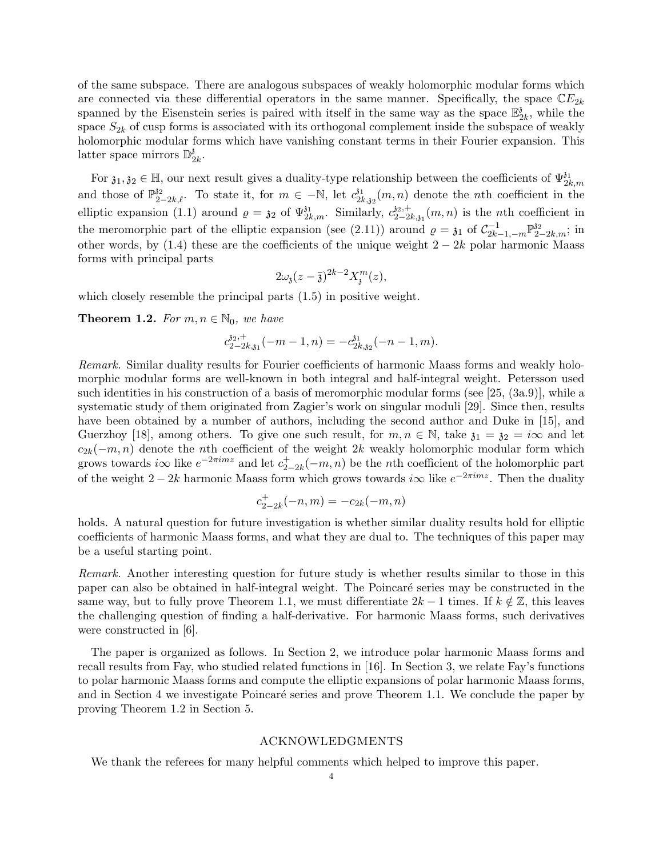of the same subspace. There are analogous subspaces of weakly holomorphic modular forms which are connected via these differential operators in the same manner. Specifically, the space  $\mathbb{C}E_{2k}$ spanned by the Eisenstein series is paired with itself in the same way as the space  $\mathbb{E}_2^3$  $\frac{3}{2k}$ , while the space  $S_{2k}$  of cusp forms is associated with its orthogonal complement inside the subspace of weakly holomorphic modular forms which have vanishing constant terms in their Fourier expansion. This latter space mirrors  $\mathbb{D}_\gamma^3$  $_{2k}^{\mathfrak z}$  .

For  $\mathfrak{z}_1, \mathfrak{z}_2 \in \mathbb{H}$ , our next result gives a duality-type relationship between the coefficients of  $\Psi_{2k,m}^{\mathfrak{z}_1}$ and those of  $\mathbb{P}_{2-2k,\ell}^{32}$ . To state it, for  $m \in -\mathbb{N}$ , let  $c_{2l}^{31}$  $\frac{\partial^1}{\partial k_{\lambda} \partial k_{\lambda}}(m,n)$  denote the *n*th coefficient in the elliptic expansion (1.1) around  $\rho = \mathfrak{z}_2$  of  $\Psi_{2k,m}^{\mathfrak{z}_1}$ . Similarly,  $c_{2-2k}^{\mathfrak{z}_2}$  $a_{2-2k,31}^{32,+}(m,n)$  is the *n*th coefficient in the meromorphic part of the elliptic expansion (see (2.11)) around  $\rho = \mathfrak{z}_1$  of  $\mathcal{C}_{2k-1,-m}^{-1} \mathbb{P}_{2-2k,m}^{32}$ ; in other words, by (1.4) these are the coefficients of the unique weight  $2 - 2k$  polar harmonic Maass forms with principal parts

$$
2\omega_{\mathfrak{z}}(z-\overline{\mathfrak{z}})^{2k-2}X_{\mathfrak{z}}^m(z),
$$

which closely resemble the principal parts  $(1.5)$  in positive weight.

**Theorem 1.2.** For  $m, n \in \mathbb{N}_0$ , we have

$$
c_{2-2k,31}^{32,+}(-m-1,n) = -c_{2k,32}^{31}(-n-1,m).
$$

Remark. Similar duality results for Fourier coefficients of harmonic Maass forms and weakly holomorphic modular forms are well-known in both integral and half-integral weight. Petersson used such identities in his construction of a basis of meromorphic modular forms (see [25, (3a.9)], while a systematic study of them originated from Zagier's work on singular moduli [29]. Since then, results have been obtained by a number of authors, including the second author and Duke in [15], and Guerzhoy [18], among others. To give one such result, for  $m, n \in \mathbb{N}$ , take  $\mathfrak{z}_1 = \mathfrak{z}_2 = i\infty$  and let  $c_{2k}(-m, n)$  denote the nth coefficient of the weight 2k weakly holomorphic modular form which grows towards *i* $\infty$  like  $e^{-2\pi imz}$  and let  $c_2^+$  $_{2-2k}^{+}(-m,n)$  be the *n*th coefficient of the holomorphic part of the weight 2 – 2k harmonic Maass form which grows towards i $\infty$  like  $e^{-2\pi imz}$ . Then the duality

$$
c_{2-2k}^+(-n,m) = -c_{2k}(-m,n)
$$

holds. A natural question for future investigation is whether similar duality results hold for elliptic coefficients of harmonic Maass forms, and what they are dual to. The techniques of this paper may be a useful starting point.

Remark. Another interesting question for future study is whether results similar to those in this paper can also be obtained in half-integral weight. The Poincaré series may be constructed in the same way, but to fully prove Theorem 1.1, we must differentiate  $2k-1$  times. If  $k \notin \mathbb{Z}$ , this leaves the challenging question of finding a half-derivative. For harmonic Maass forms, such derivatives were constructed in [6].

The paper is organized as follows. In Section 2, we introduce polar harmonic Maass forms and recall results from Fay, who studied related functions in [16]. In Section 3, we relate Fay's functions to polar harmonic Maass forms and compute the elliptic expansions of polar harmonic Maass forms, and in Section 4 we investigate Poincaré series and prove Theorem 1.1. We conclude the paper by proving Theorem 1.2 in Section 5.

### ACKNOWLEDGMENTS

We thank the referees for many helpful comments which helped to improve this paper.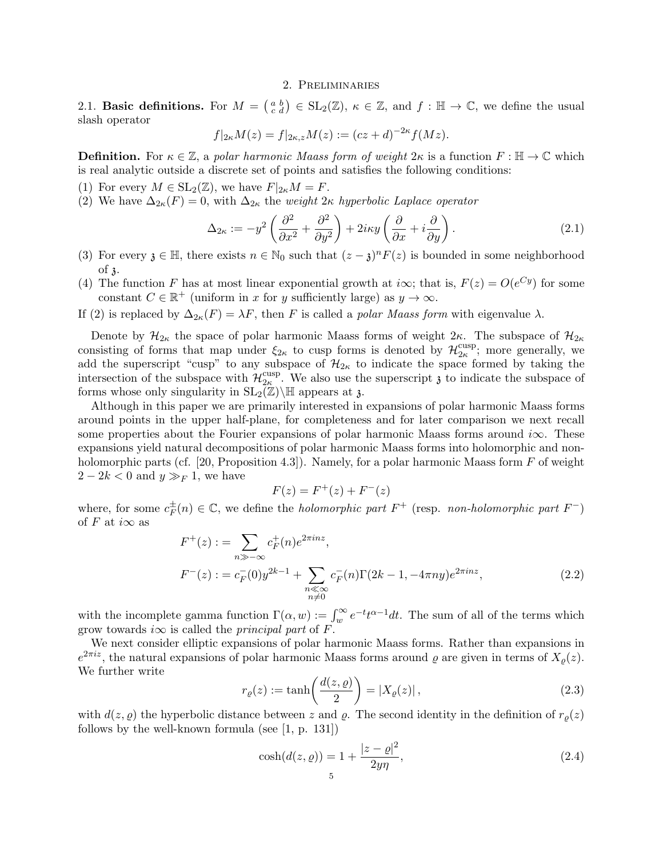### 2. Preliminaries

2.1. **Basic definitions.** For  $M = \begin{pmatrix} a & b \\ c & d \end{pmatrix} \in SL_2(\mathbb{Z})$ ,  $\kappa \in \mathbb{Z}$ , and  $f : \mathbb{H} \to \mathbb{C}$ , we define the usual slash operator

$$
f|_{2\kappa}M(z) = f|_{2\kappa,z}M(z) := (cz+d)^{-2\kappa}f(Mz).
$$

**Definition.** For  $\kappa \in \mathbb{Z}$ , a polar harmonic Maass form of weight  $2\kappa$  is a function  $F : \mathbb{H} \to \mathbb{C}$  which is real analytic outside a discrete set of points and satisfies the following conditions:

- (1) For every  $M \in SL_2(\mathbb{Z})$ , we have  $F|_{2\kappa}M = F$ .
- (2) We have  $\Delta_{2\kappa}(F) = 0$ , with  $\Delta_{2\kappa}$  the *weight*  $2\kappa$  *hyperbolic Laplace operator*

$$
\Delta_{2\kappa} := -y^2 \left( \frac{\partial^2}{\partial x^2} + \frac{\partial^2}{\partial y^2} \right) + 2i\kappa y \left( \frac{\partial}{\partial x} + i \frac{\partial}{\partial y} \right). \tag{2.1}
$$

- (3) For every  $\mathfrak{z} \in \mathbb{H}$ , there exists  $n \in \mathbb{N}_0$  such that  $(z \mathfrak{z})^n F(z)$  is bounded in some neighborhood of z.
- (4) The function F has at most linear exponential growth at *i* $\infty$ ; that is,  $F(z) = O(e^{Cy})$  for some constant  $C \in \mathbb{R}^+$  (uniform in x for y sufficiently large) as  $y \to \infty$ .
- If (2) is replaced by  $\Delta_{2\kappa}(F) = \lambda F$ , then F is called a polar Maass form with eigenvalue  $\lambda$ .

Denote by  $\mathcal{H}_{2\kappa}$  the space of polar harmonic Maass forms of weight  $2\kappa$ . The subspace of  $\mathcal{H}_{2\kappa}$ consisting of forms that map under  $\xi_{2\kappa}$  to cusp forms is denoted by  $\mathcal{H}_{2\kappa}^{\text{cusp}}$  $_{2\kappa}^{\text{cusp}}$ ; more generally, we add the superscript "cusp" to any subspace of  $\mathcal{H}_{2\kappa}$  to indicate the space formed by taking the intersection of the subspace with  $\mathcal{H}_{2\kappa}^{\text{cusp}}$ <sup>cusp</sup>. We also use the superscript  $\mathfrak z$  to indicate the subspace of forms whose only singularity in  $SL_2(\mathbb{Z})\backslash\mathbb{H}$  appears at  $\mathfrak{z}$ .

Although in this paper we are primarily interested in expansions of polar harmonic Maass forms around points in the upper half-plane, for completeness and for later comparison we next recall some properties about the Fourier expansions of polar harmonic Maass forms around  $i\infty$ . These expansions yield natural decompositions of polar harmonic Maass forms into holomorphic and nonholomorphic parts (cf. [20, Proposition 4.3]). Namely, for a polar harmonic Maass form  $F$  of weight  $2 - 2k < 0$  and  $y \gg_F 1$ , we have

$$
F(z) = F^{+}(z) + F^{-}(z)
$$

where, for some  $c_F^{\pm}$  $\frac{1}{F}(n) \in \mathbb{C}$ , we define the *holomorphic part*  $F^+$  (resp. *non-holomorphic part*  $F^-$ ) of F at  $i\infty$  as

$$
F^{+}(z) := \sum_{n \gg -\infty} c_F^{+}(n)e^{2\pi i n z},
$$
  
\n
$$
F^{-}(z) := c_F^{-}(0)y^{2k-1} + \sum_{\substack{n \ll \infty \\ n \neq 0}} c_F^{-}(n)\Gamma(2k-1, -4\pi n y)e^{2\pi i n z},
$$
\n(2.2)

with the incomplete gamma function  $\Gamma(\alpha, w) := \int_w^{\infty} e^{-t} t^{\alpha-1} dt$ . The sum of all of the terms which grow towards *i* $\infty$  is called the *principal part* of F.

We next consider elliptic expansions of polar harmonic Maass forms. Rather than expansions in  $e^{2\pi i z}$ , the natural expansions of polar harmonic Maass forms around  $\varrho$  are given in terms of  $X_{\varrho}(z)$ . We further write

$$
r_{\varrho}(z) := \tanh\left(\frac{d(z,\varrho)}{2}\right) = |X_{\varrho}(z)|\,,\tag{2.3}
$$

with  $d(z, \rho)$  the hyperbolic distance between z and  $\rho$ . The second identity in the definition of  $r_{\rho}(z)$ follows by the well-known formula (see [1, p. 131])

$$
\cosh(d(z, \varrho)) = 1 + \frac{|z - \varrho|^2}{2y\eta},\tag{2.4}
$$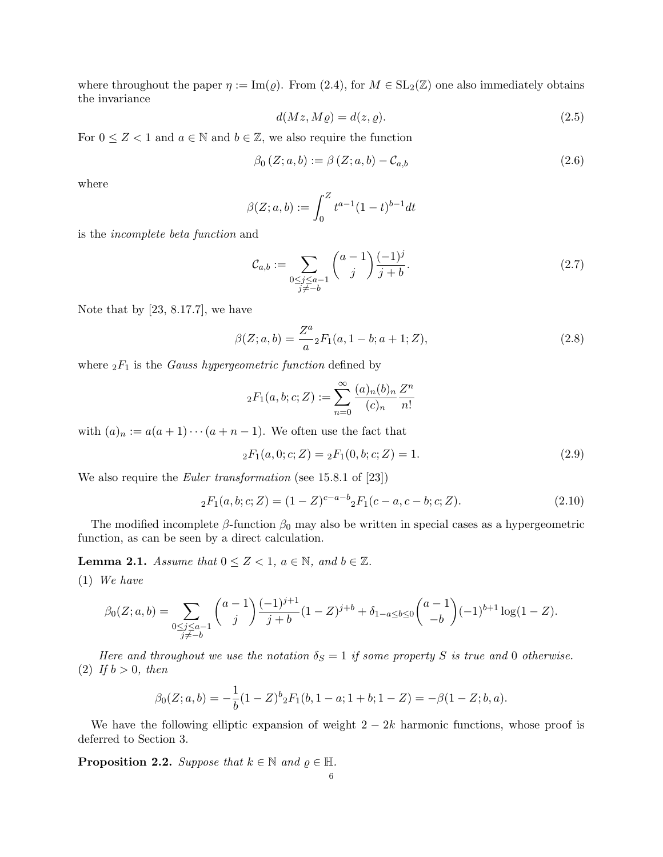where throughout the paper  $\eta := \text{Im}(\rho)$ . From (2.4), for  $M \in SL_2(\mathbb{Z})$  one also immediately obtains the invariance

$$
d(Mz, M\varrho) = d(z, \varrho). \tag{2.5}
$$

For  $0 \leq Z < 1$  and  $a \in \mathbb{N}$  and  $b \in \mathbb{Z}$ , we also require the function

$$
\beta_0 (Z; a, b) := \beta (Z; a, b) - C_{a,b} \tag{2.6}
$$

where

$$
\beta(Z;a,b) := \int_0^Z t^{a-1} (1-t)^{b-1} dt
$$

is the incomplete beta function and

$$
\mathcal{C}_{a,b} := \sum_{\substack{0 \le j \le a-1 \\ j \ne -b}} \binom{a-1}{j} \frac{(-1)^j}{j+b}.\tag{2.7}
$$

Note that by [23, 8.17.7], we have

$$
\beta(Z;a,b) = \frac{Z^a}{a} {}_2F_1(a,1-b;a+1;Z),\tag{2.8}
$$

where  ${}_2F_1$  is the *Gauss hypergeometric function* defined by

$$
{}_2F_1(a,b;c;Z) := \sum_{n=0}^{\infty} \frac{(a)_n(b)_n}{(c)_n} \frac{Z^n}{n!}
$$

with  $(a)_n := a(a+1)\cdots(a+n-1)$ . We often use the fact that

$$
{}_2F_1(a,0;c;Z) = {}_2F_1(0,b;c;Z) = 1.
$$
\n(2.9)

We also require the *Euler transformation* (see 15.8.1 of [23])

$$
{}_2F_1(a,b;c;Z) = (1-Z)^{c-a-b} {}_2F_1(c-a,c-b;c;Z). \tag{2.10}
$$

The modified incomplete  $\beta$ -function  $\beta_0$  may also be written in special cases as a hypergeometric function, as can be seen by a direct calculation.

**Lemma 2.1.** Assume that  $0 \leq Z < 1$ ,  $a \in \mathbb{N}$ , and  $b \in \mathbb{Z}$ .

(1) We have

$$
\beta_0(Z;a,b) = \sum_{\substack{0 \le j \le a-1 \\ j \ne -b}} \binom{a-1}{j} \frac{(-1)^{j+1}}{j+b} (1-Z)^{j+b} + \delta_{1-a \le b \le 0} \binom{a-1}{-b} (-1)^{b+1} \log(1-Z).
$$

Here and throughout we use the notation  $\delta_S = 1$  if some property S is true and 0 otherwise. (2) If  $b > 0$ , then

$$
\beta_0(Z;a,b) = -\frac{1}{b}(1-Z)^b{}_2F_1(b,1-a;1+b;1-Z) = -\beta(1-Z;b,a).
$$

We have the following elliptic expansion of weight  $2 - 2k$  harmonic functions, whose proof is deferred to Section 3.

**Proposition 2.2.** Suppose that  $k \in \mathbb{N}$  and  $\varrho \in \mathbb{H}$ .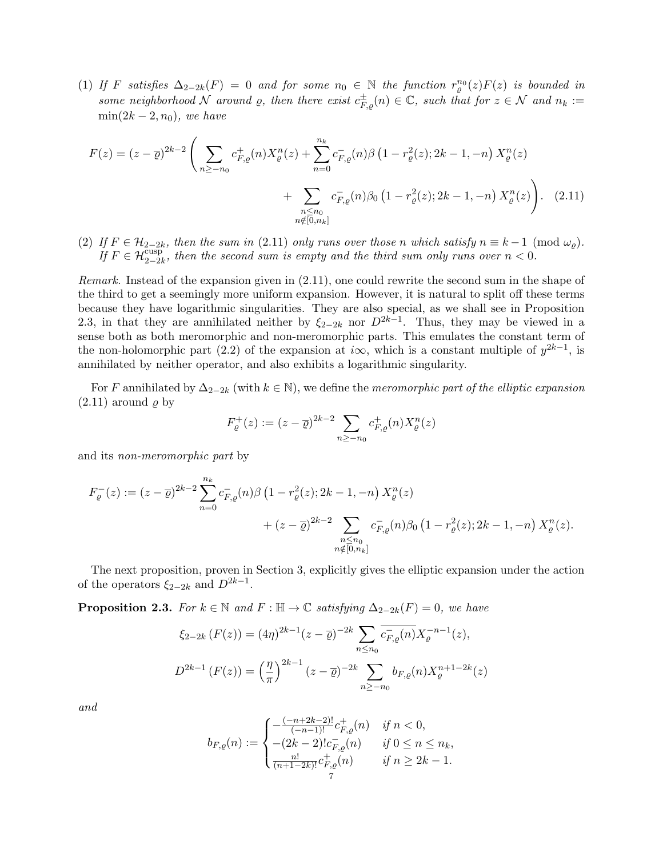(1) If F satisfies  $\Delta_{2-2k}(F) = 0$  and for some  $n_0 \in \mathbb{N}$  the function  $r_\varrho^{n_0}(z)F(z)$  is bounded in some neighborhood N around  $\rho$ , then there exist  $c_{F,\rho}^{\pm}(n) \in \mathbb{C}$ , such that for  $z \in \mathcal{N}$  and  $n_k :=$  $\min(2k-2, n_0)$ , we have

$$
F(z) = (z - \overline{\varrho})^{2k-2} \left( \sum_{n \ge -n_0} c_{F,\varrho}^+(n) X_{\varrho}^n(z) + \sum_{n=0}^{n_k} c_{F,\varrho}^-(n) \beta \left(1 - r_{\varrho}^2(z); 2k - 1, -n\right) X_{\varrho}^n(z) + \sum_{\substack{n \le n_0 \\ n \notin [0, n_k]}} c_{F,\varrho}^-(n) \beta_0 \left(1 - r_{\varrho}^2(z); 2k - 1, -n\right) X_{\varrho}^n(z) \right). \tag{2.11}
$$

(2) If  $F \in \mathcal{H}_{2-2k}$ , then the sum in (2.11) only runs over those n which satisfy  $n \equiv k-1 \pmod{\omega_{\varrho}}$ . If  $F \in \mathcal{H}_{2-2k}^{\text{cusp}}$ , then the second sum is empty and the third sum only runs over  $n < 0$ .

Remark. Instead of the expansion given in (2.11), one could rewrite the second sum in the shape of the third to get a seemingly more uniform expansion. However, it is natural to split off these terms because they have logarithmic singularities. They are also special, as we shall see in Proposition 2.3, in that they are annihilated neither by  $\xi_{2-2k}$  nor  $D^{2k-1}$ . Thus, they may be viewed in a sense both as both meromorphic and non-meromorphic parts. This emulates the constant term of the non-holomorphic part (2.2) of the expansion at i $\infty$ , which is a constant multiple of  $y^{2k-1}$ , is annihilated by neither operator, and also exhibits a logarithmic singularity.

For F annihilated by  $\Delta_{2-2k}$  (with  $k \in \mathbb{N}$ ), we define the meromorphic part of the elliptic expansion  $(2.11)$  around  $\rho$  by

$$
F_{\varrho}^{+}(z) := (z - \overline{\varrho})^{2k-2} \sum_{n \ge -n_0} c_{F,\varrho}^{+}(n) X_{\varrho}^{n}(z)
$$

and its non-meromorphic part by

$$
F_{\varrho}^{-}(z) := (z - \overline{\varrho})^{2k-2} \sum_{n=0}^{n_k} c_{F,\varrho}^{-}(n) \beta \left(1 - r_{\varrho}^{2}(z); 2k - 1, -n\right) X_{\varrho}^{n}(z) + (z - \overline{\varrho})^{2k-2} \sum_{\substack{n \le n_0 \\ n \notin [0, n_k]}} c_{F,\varrho}^{-}(n) \beta_0 \left(1 - r_{\varrho}^{2}(z); 2k - 1, -n\right) X_{\varrho}^{n}(z).
$$

The next proposition, proven in Section 3, explicitly gives the elliptic expansion under the action of the operators  $\xi_{2-2k}$  and  $D^{2k-1}$ .

**Proposition 2.3.** For  $k \in \mathbb{N}$  and  $F : \mathbb{H} \to \mathbb{C}$  satisfying  $\Delta_{2-2k}(F) = 0$ , we have

$$
\xi_{2-2k}(F(z)) = (4\eta)^{2k-1}(z-\overline{\varrho})^{-2k} \sum_{n \le n_0} \overline{c_{F,\varrho}^-(n)} X_{\varrho}^{-n-1}(z),
$$
  

$$
D^{2k-1}(F(z)) = \left(\frac{\eta}{\pi}\right)^{2k-1} (z-\overline{\varrho})^{-2k} \sum_{n \ge -n_0} b_{F,\varrho}(n) X_{\varrho}^{n+1-2k}(z)
$$

and

$$
b_{F,\varrho}(n):=\begin{cases} -\frac{(-n+2k-2)!}{(-n-1)!}c^+_{F,\varrho}(n) & \text{ if } n<0,\\ -(2k-2)!c^-_{F,\varrho}(n) & \text{ if } 0\leq n\leq n_k,\\ \frac{n!}{(n+1-2k)!}c^+_{F,\varrho}(n) & \text{ if } n\geq 2k-1.\\ 7 & \end{cases}
$$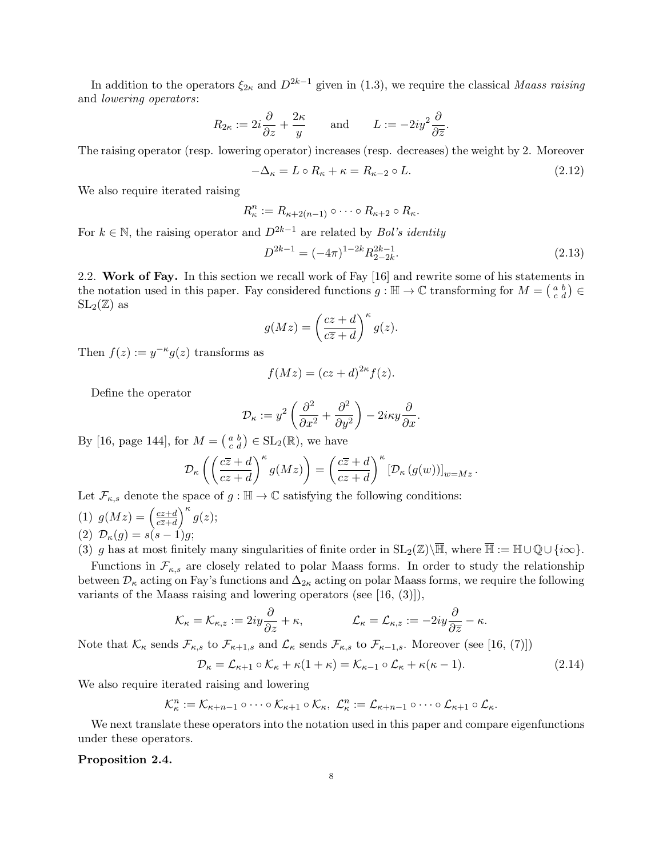In addition to the operators  $\xi_{2\kappa}$  and  $D^{2k-1}$  given in (1.3), we require the classical Maass raising and lowering operators:

$$
R_{2\kappa} := 2i\frac{\partial}{\partial z} + \frac{2\kappa}{y}
$$
 and  $L := -2iy^2\frac{\partial}{\partial \overline{z}}$ .

The raising operator (resp. lowering operator) increases (resp. decreases) the weight by 2. Moreover

$$
-\Delta_{\kappa} = L \circ R_{\kappa} + \kappa = R_{\kappa - 2} \circ L. \tag{2.12}
$$

We also require iterated raising

$$
R_{\kappa}^n := R_{\kappa+2(n-1)} \circ \cdots \circ R_{\kappa+2} \circ R_{\kappa}.
$$

For  $k \in \mathbb{N}$ , the raising operator and  $D^{2k-1}$  are related by *Bol's identity* 

$$
D^{2k-1} = (-4\pi)^{1-2k} R_{2-2k}^{2k-1}.
$$
\n(2.13)

2.2. Work of Fay. In this section we recall work of Fay [16] and rewrite some of his statements in the notation used in this paper. Fay considered functions  $g : \mathbb{H} \to \mathbb{C}$  transforming for  $M = \begin{pmatrix} a & b \\ c & d \end{pmatrix} \in$  $SL_2(\mathbb{Z})$  as

$$
g(Mz) = \left(\frac{cz+d}{c\overline{z}+d}\right)^{\kappa} g(z).
$$

Then  $f(z) := y^{-\kappa} g(z)$  transforms as

$$
f(Mz) = (cz+d)^{2\kappa} f(z).
$$

Define the operator

$$
\mathcal{D}_{\kappa} := y^2 \left( \frac{\partial^2}{\partial x^2} + \frac{\partial^2}{\partial y^2} \right) - 2i\kappa y \frac{\partial}{\partial x}.
$$

By [16, page 144], for  $M = \begin{pmatrix} a & b \\ c & d \end{pmatrix} \in SL_2(\mathbb{R})$ , we have

$$
\mathcal{D}_{\kappa}\left(\left(\frac{c\overline{z}+d}{cz+d}\right)^{\kappa}g(Mz)\right)=\left(\frac{c\overline{z}+d}{cz+d}\right)^{\kappa}\left[\mathcal{D}_{\kappa}\left(g(w)\right)\right]_{w=Mz}.
$$

Let  $\mathcal{F}_{\kappa,s}$  denote the space of  $g : \mathbb{H} \to \mathbb{C}$  satisfying the following conditions:

(1)  $g(Mz) = \left(\frac{cz+d}{c\overline{z}+d}\right)$  $\frac{cz+d}{c\overline{z}+d}$ <sup>k</sup> $g(z);$ (2)  $\mathcal{D}_{\kappa}(g) = s(s-1)g;$ 

(3) g has at most finitely many singularities of finite order in  $SL_2(\mathbb{Z})\backslash\overline{\mathbb{H}}$ , where  $\overline{\mathbb{H}} := \mathbb{H}\cup\mathbb{Q}\cup\{i\infty\}.$ 

Functions in  $\mathcal{F}_{\kappa,s}$  are closely related to polar Maass forms. In order to study the relationship between  $\mathcal{D}_{\kappa}$  acting on Fay's functions and  $\Delta_{2\kappa}$  acting on polar Maass forms, we require the following variants of the Maass raising and lowering operators (see [16, (3)]),

$$
\mathcal{K}_{\kappa} = \mathcal{K}_{\kappa,z} := 2iy\frac{\partial}{\partial z} + \kappa, \qquad \qquad \mathcal{L}_{\kappa} = \mathcal{L}_{\kappa,z} := -2iy\frac{\partial}{\partial \overline{z}} - \kappa.
$$

Note that  $\mathcal{K}_{\kappa}$  sends  $\mathcal{F}_{\kappa,s}$  to  $\mathcal{F}_{\kappa+1,s}$  and  $\mathcal{L}_{\kappa}$  sends  $\mathcal{F}_{\kappa,s}$  to  $\mathcal{F}_{\kappa-1,s}$ . Moreover (see [16, (7)])

$$
\mathcal{D}_{\kappa} = \mathcal{L}_{\kappa+1} \circ \mathcal{K}_{\kappa} + \kappa (1 + \kappa) = \mathcal{K}_{\kappa-1} \circ \mathcal{L}_{\kappa} + \kappa (\kappa - 1). \tag{2.14}
$$

We also require iterated raising and lowering

$$
\mathcal{K}_{\kappa}^n := \mathcal{K}_{\kappa+n-1} \circ \cdots \circ \mathcal{K}_{\kappa+1} \circ \mathcal{K}_{\kappa}, \ \mathcal{L}_{\kappa}^n := \mathcal{L}_{\kappa+n-1} \circ \cdots \circ \mathcal{L}_{\kappa+1} \circ \mathcal{L}_{\kappa}.
$$

We next translate these operators into the notation used in this paper and compare eigenfunctions under these operators.

### Proposition 2.4.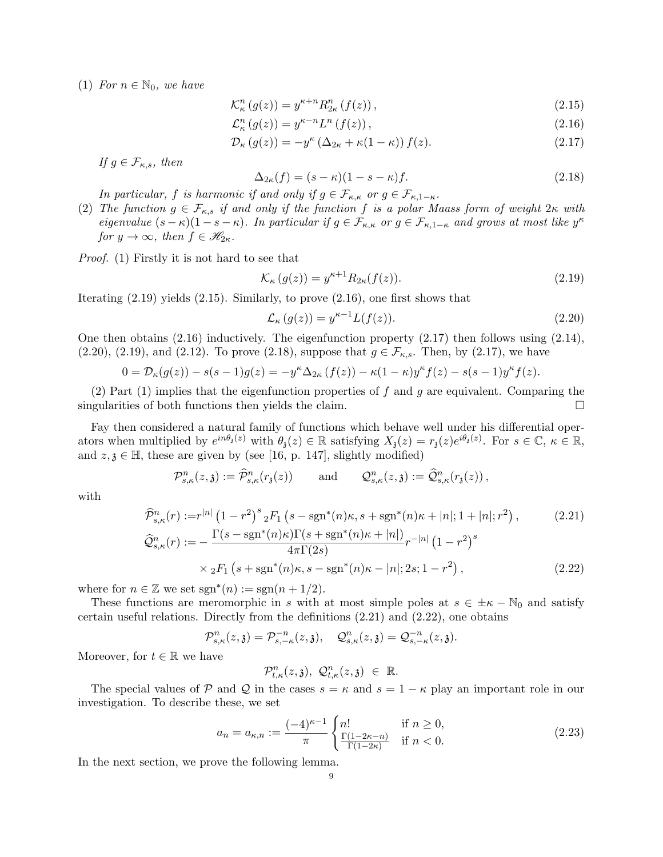(1) For  $n \in \mathbb{N}_0$ , we have

$$
\mathcal{K}_{\kappa}^{n}\left(g(z)\right) = y^{\kappa+n} R_{2\kappa}^{n}\left(f(z)\right),\tag{2.15}
$$

$$
\mathcal{L}_{\kappa}^{n}(g(z)) = y^{\kappa - n} L^{n}(f(z)), \qquad (2.16)
$$

$$
\mathcal{D}_{\kappa}(g(z)) = -y^{\kappa} \left(\Delta_{2\kappa} + \kappa(1-\kappa)\right) f(z). \tag{2.17}
$$

If  $g \in \mathcal{F}_{\kappa,s}$ , then

$$
\Delta_{2\kappa}(f) = (s - \kappa)(1 - s - \kappa)f. \tag{2.18}
$$

In particular, f is harmonic if and only if  $g \in \mathcal{F}_{\kappa,\kappa}$  or  $g \in \mathcal{F}_{\kappa,1-\kappa}$ .

(2) The function  $g \in \mathcal{F}_{\kappa,s}$  if and only if the function f is a polar Maass form of weight  $2\kappa$  with eigenvalue  $(s - \kappa)(1 - s - \kappa)$ . In particular if  $g \in \mathcal{F}_{\kappa,\kappa}$  or  $g \in \mathcal{F}_{\kappa,1-\kappa}$  and grows at most like  $y^{\kappa}$ for  $y \to \infty$ , then  $f \in \mathcal{H}_{2\kappa}$ .

Proof. (1) Firstly it is not hard to see that

$$
\mathcal{K}_{\kappa}(g(z)) = y^{\kappa+1} R_{2\kappa}(f(z)).\tag{2.19}
$$

Iterating (2.19) yields (2.15). Similarly, to prove (2.16), one first shows that

$$
\mathcal{L}_{\kappa}(g(z)) = y^{\kappa - 1} L(f(z)). \tag{2.20}
$$

One then obtains (2.16) inductively. The eigenfunction property (2.17) then follows using (2.14),  $(2.20), (2.19), \text{ and } (2.12).$  To prove  $(2.18), \text{ suppose that } g \in \mathcal{F}_{\kappa,s}$ . Then, by  $(2.17), \text{ we have}$ 

$$
0 = \mathcal{D}_{\kappa}(g(z)) - s(s-1)g(z) = -y^{\kappa} \Delta_{2\kappa}(f(z)) - \kappa(1-\kappa)y^{\kappa}f(z) - s(s-1)y^{\kappa}f(z).
$$

(2) Part (1) implies that the eigenfunction properties of f and g are equivalent. Comparing the singularities of both functions then yields the claim.

Fay then considered a natural family of functions which behave well under his differential operators when multiplied by  $e^{in\theta_3(z)}$  with  $\theta_3(z) \in \mathbb{R}$  satisfying  $X_3(z) = r_3(z)e^{i\theta_3(z)}$ . For  $s \in \mathbb{C}$ ,  $\kappa \in \mathbb{R}$ , and  $z, \mathfrak{z} \in \mathbb{H}$ , these are given by (see [16, p. 147], slightly modified)

$$
\mathcal{P}_{s,\kappa}^n(z,\mathfrak{z}) := \widehat{\mathcal{P}}_{s,\kappa}^n(r_\mathfrak{z}(z)) \quad \text{and} \quad \mathcal{Q}_{s,\kappa}^n(z,\mathfrak{z}) := \widehat{\mathcal{Q}}_{s,\kappa}^n(r_\mathfrak{z}(z)),
$$

with

$$
\hat{\mathcal{P}}_{s,\kappa}^{n}(r) := r^{|n|} (1 - r^{2})^{s} {}_{2}F_{1} \left(s - \operatorname{sgn}^{*}(n)\kappa, s + \operatorname{sgn}^{*}(n)\kappa + |n|; 1 + |n|; r^{2}\right), \tag{2.21}
$$
\n
$$
\hat{\mathcal{Q}}_{s,\kappa}^{n}(r) := -\frac{\Gamma(s - \operatorname{sgn}^{*}(n)\kappa)\Gamma(s + \operatorname{sgn}^{*}(n)\kappa + |n|)}{4\pi \Gamma(2s)} r^{-|n|} (1 - r^{2})^{s}
$$
\n
$$
\times {}_{2}F_{1} \left(s + \operatorname{sgn}^{*}(n)\kappa, s - \operatorname{sgn}^{*}(n)\kappa - |n|; 2s; 1 - r^{2}\right), \tag{2.22}
$$

where for  $n \in \mathbb{Z}$  we set  $sgn^*(n) := sgn(n + 1/2)$ .

These functions are meromorphic in s with at most simple poles at  $s \in \pm \kappa - \mathbb{N}_0$  and satisfy certain useful relations. Directly from the definitions (2.21) and (2.22), one obtains

 $\mathcal{P}^n_{s,\kappa}(z,\mathfrak{z}) = \mathcal{P}^{-n}_{s,-\kappa}(z,\mathfrak{z}), \quad \mathcal{Q}^n_{s,\kappa}(z,\mathfrak{z}) = \mathcal{Q}^{-n}_{s,-\kappa}(z,\mathfrak{z}).$ 

Moreover, for  $t \in \mathbb{R}$  we have

 $\mathcal{P}^n_{t,\kappa}(z,\mathfrak{z}),\ \mathcal{Q}^n_{t,\kappa}(z,\mathfrak{z})\ \in\ \mathbb{R}.$ 

The special values of P and Q in the cases  $s = \kappa$  and  $s = 1 - \kappa$  play an important role in our investigation. To describe these, we set

$$
a_n = a_{\kappa,n} := \frac{(-4)^{\kappa - 1}}{\pi} \begin{cases} n! & \text{if } n \ge 0, \\ \frac{\Gamma(1 - 2\kappa - n)}{\Gamma(1 - 2\kappa)} & \text{if } n < 0. \end{cases}
$$
 (2.23)

In the next section, we prove the following lemma.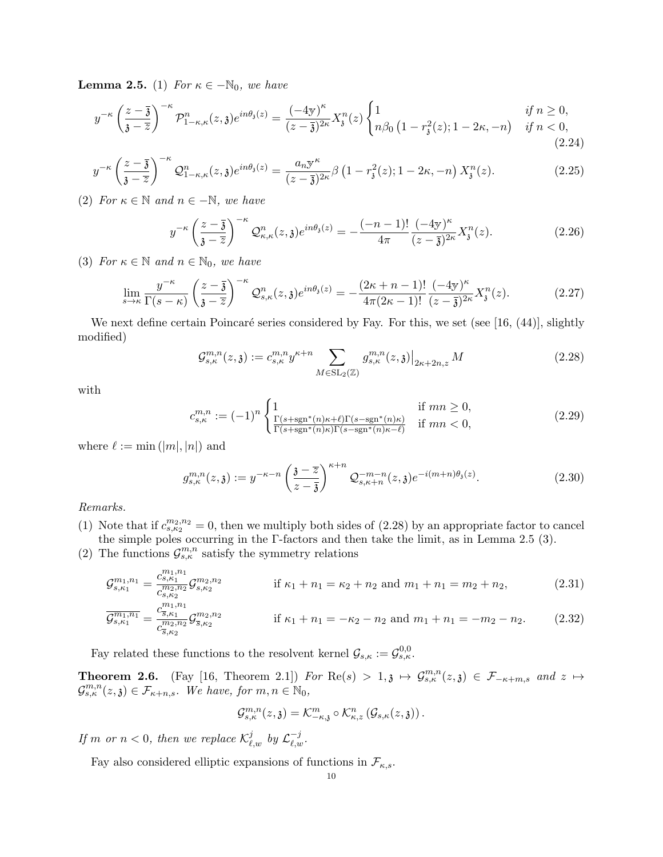**Lemma 2.5.** (1) For  $\kappa \in -\mathbb{N}_0$ , we have

$$
y^{-\kappa} \left(\frac{z-\overline{3}}{\overline{3}-\overline{z}}\right)^{-\kappa} \mathcal{P}_{1-\kappa,\kappa}^n(z,\overline{3}) e^{in\theta_3(z)} = \frac{(-4y)^{\kappa}}{(z-\overline{3})^{2\kappa}} X_j^n(z) \begin{cases} 1 & \text{if } n \ge 0, \\ n\beta_0 \left(1 - r_\delta^2(z); 1 - 2\kappa, -n\right) & \text{if } n < 0, \end{cases}
$$
\n(2.24)

$$
y^{-\kappa} \left(\frac{z-\overline{3}}{\overline{3}-\overline{z}}\right)^{-\kappa} \mathcal{Q}_{1-\kappa,\kappa}^n(z,\overline{3}) e^{in\theta_3(z)} = \frac{a_n y^{\kappa}}{(z-\overline{3})^{2\kappa}} \beta \left(1 - r_\mathfrak{z}^2(z); 1 - 2\kappa, -n\right) X_\mathfrak{z}^n(z). \tag{2.25}
$$

(2) For  $\kappa \in \mathbb{N}$  and  $n \in -\mathbb{N}$ , we have

$$
y^{-\kappa} \left(\frac{z-\overline{3}}{\overline{3}-\overline{z}}\right)^{-\kappa} \mathcal{Q}_{\kappa,\kappa}^n(z,\overline{3}) e^{in\theta_3(z)} = -\frac{(-n-1)!}{4\pi} \frac{(-4\overline{y})^\kappa}{(z-\overline{3})^{2\kappa}} X_3^n(z). \tag{2.26}
$$

(3) For  $\kappa \in \mathbb{N}$  and  $n \in \mathbb{N}_0$ , we have

$$
\lim_{s \to \kappa} \frac{y^{-\kappa}}{\Gamma(s-\kappa)} \left(\frac{z-\overline{3}}{\overline{3}-\overline{z}}\right)^{-\kappa} \mathcal{Q}_{s,\kappa}^n(z,\mathfrak{z}) e^{in\theta_{\mathfrak{z}}(z)} = -\frac{(2\kappa+n-1)!}{4\pi(2\kappa-1)!} \frac{(-4y)^{\kappa}}{(z-\overline{3})^{2\kappa}} X_{\mathfrak{z}}^n(z). \tag{2.27}
$$

We next define certain Poincaré series considered by Fay. For this, we set (see [16,  $(44)$ ], slightly modified)

$$
\mathcal{G}_{s,\kappa}^{m,n}(z,\mathfrak{z}) := c_{s,\kappa}^{m,n} y^{\kappa+n} \sum_{M \in \text{SL}_2(\mathbb{Z})} g_{s,\kappa}^{m,n}(z,\mathfrak{z}) \big|_{2\kappa+2n,z} M \tag{2.28}
$$

with

$$
c_{s,\kappa}^{m,n} := (-1)^n \begin{cases} 1 & \text{if } mn \ge 0, \\ \frac{\Gamma(s + \text{sgn}^*(n)\kappa + \ell)\Gamma(s - \text{sgn}^*(n)\kappa)}{\Gamma(s + \text{sgn}^*(n)\kappa)\Gamma(s - \text{sgn}^*(n)\kappa - \ell)} & \text{if } mn < 0, \end{cases}
$$
(2.29)

where  $\ell := \min(|m|, |n|)$  and

$$
g_{s,\kappa}^{m,n}(z,\mathfrak{z}) := y^{-\kappa-n} \left(\frac{\mathfrak{z}-\overline{z}}{z-\overline{\mathfrak{z}}}\right)^{\kappa+n} \mathcal{Q}_{s,\kappa+n}^{-m-n}(z,\mathfrak{z}) e^{-i(m+n)\theta_{\mathfrak{z}}(z)}.
$$
 (2.30)

Remarks.

- (1) Note that if  $c_{s,\kappa_2}^{m_2,n_2} = 0$ , then we multiply both sides of (2.28) by an appropriate factor to cancel the simple poles occurring in the  $\Gamma$ -factors and then take the limit, as in Lemma 2.5 (3).
- (2) The functions  $\mathcal{G}^{m,n}_{s,\kappa}$  satisfy the symmetry relations

$$
\mathcal{G}_{s,\kappa_1}^{m_1,n_1} = \frac{c_{s,\kappa_1}^{m_1,n_1}}{c_{s,\kappa_2}^{m_2,n_2}} \mathcal{G}_{s,\kappa_2}^{m_2,n_2} \qquad \text{if } \kappa_1+n_1 = \kappa_2+n_2 \text{ and } m_1+n_1 = m_2+n_2,\tag{2.31}
$$

$$
\overline{\mathcal{G}_{s,\kappa_1}^{m_1,n_1}} = \frac{c_{\overline{s},\kappa_1}^{m_1,n_1}}{c_{\overline{s},\kappa_2}^{m_2,n_2}} \mathcal{G}_{\overline{s},\kappa_2}^{m_2,n_2} \qquad \text{if } \kappa_1 + n_1 = -\kappa_2 - n_2 \text{ and } m_1 + n_1 = -m_2 - n_2. \tag{2.32}
$$

Fay related these functions to the resolvent kernel  $\mathcal{G}_{s,\kappa} := \mathcal{G}_{s,\kappa}^{0,0}$ .

**Theorem 2.6.** (Fay [16, Theorem 2.1]) For  $\text{Re}(s) > 1, \mathfrak{z} \mapsto \mathcal{G}^{m,n}_{s,\kappa}(z,\mathfrak{z}) \in \mathcal{F}_{-\kappa+m,s}$  and  $z \mapsto$  $\mathcal{G}_{s,\kappa}^{m,n}(z,\mathfrak{z}) \in \mathcal{F}_{\kappa+n,s}$ . We have, for  $m,n \in \mathbb{N}_0$ ,

$$
\mathcal{G}^{m,n}_{s,\kappa}(z,\mathfrak{z})=\mathcal{K}^m_{-\kappa,\mathfrak{z}}\circ \mathcal{K}^n_{\kappa,z}\left(\mathcal{G}_{s,\kappa}(z,\mathfrak{z})\right).
$$

If m or  $n < 0$ , then we replace  $\mathcal{K}^j_{\ell,w}$  by  $\mathcal{L}^{-j}_{\ell,w}$ .

Fay also considered elliptic expansions of functions in  $\mathcal{F}_{\kappa,s}$ .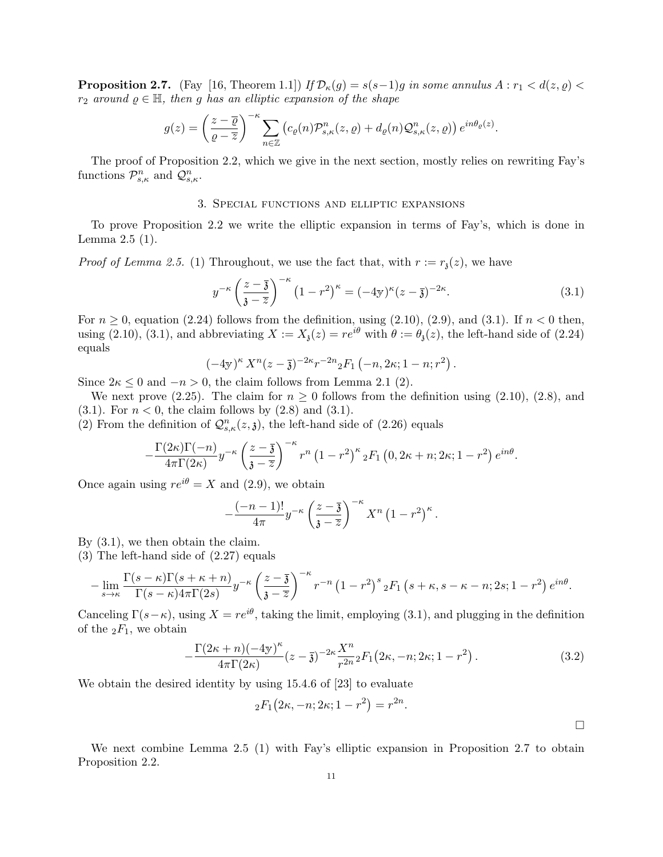**Proposition 2.7.** (Fay [16, Theorem 1.1]) If  $\mathcal{D}_{\kappa}(g) = s(s-1)g$  in some annulus  $A : r_1 < d(z, \varrho)$  $r_2$  around  $\rho \in \mathbb{H}$ , then g has an elliptic expansion of the shape

$$
g(z) = \left(\frac{z-\overline{\varrho}}{\varrho-\overline{z}}\right)^{-\kappa} \sum_{n\in\mathbb{Z}} \left(c_{\varrho}(n)\mathcal{P}_{s,\kappa}^n(z,\varrho) + d_{\varrho}(n)\mathcal{Q}_{s,\kappa}^n(z,\varrho)\right) e^{in\theta_{\varrho}(z)}.
$$

The proof of Proposition 2.2, which we give in the next section, mostly relies on rewriting Fay's functions  $\mathcal{P}_{s,\kappa}^n$  and  $\mathcal{Q}_{s,\kappa}^n$ .

### 3. Special functions and elliptic expansions

To prove Proposition 2.2 we write the elliptic expansion in terms of Fay's, which is done in Lemma 2.5 (1).

*Proof of Lemma 2.5.* (1) Throughout, we use the fact that, with  $r := r_1(z)$ , we have

$$
y^{-\kappa} \left(\frac{z-\overline{\mathfrak{z}}}{\mathfrak{z}-\overline{z}}\right)^{-\kappa} \left(1-r^2\right)^{\kappa} = (-4\mathfrak{y})^{\kappa} (z-\overline{\mathfrak{z}})^{-2\kappa}.\tag{3.1}
$$

For  $n \geq 0$ , equation (2.24) follows from the definition, using (2.10), (2.9), and (3.1). If  $n < 0$  then, using (2.10), (3.1), and abbreviating  $X := X_{\mathfrak{z}}(z) = re^{i\theta}$  with  $\theta := \theta_{\mathfrak{z}}(z)$ , the left-hand side of (2.24) equals

$$
(-4y)^{\kappa} X^{n}(z-\overline{\mathfrak{z}})^{-2\kappa} r^{-2n} {}_{2}F_{1}(-n, 2\kappa; 1-n; r^{2}).
$$

Since  $2\kappa \leq 0$  and  $-n > 0$ , the claim follows from Lemma 2.1 (2).

We next prove (2.25). The claim for  $n \geq 0$  follows from the definition using (2.10), (2.8), and (3.1). For  $n < 0$ , the claim follows by  $(2.8)$  and  $(3.1)$ .

(2) From the definition of  $\mathcal{Q}_{s,\kappa}^n(z,\mathfrak{z})$ , the left-hand side of (2.26) equals

$$
-\frac{\Gamma(2\kappa)\Gamma(-n)}{4\pi\Gamma(2\kappa)}y^{-\kappa}\left(\frac{z-\overline{3}}{\overline{3}-\overline{z}}\right)^{-\kappa}r^{n}\left(1-r^{2}\right)^{\kappa}{}_{2}F_{1}\left(0,2\kappa+n;2\kappa;1-r^{2}\right)e^{in\theta}.
$$

Once again using  $re^{i\theta} = X$  and (2.9), we obtain

$$
-\frac{(-n-1)!}{4\pi}y^{-\kappa}\left(\frac{z-\overline{3}}{\overline{3}-\overline{z}}\right)^{-\kappa}X^{n}\left(1-r^{2}\right)^{\kappa}.
$$

By (3.1), we then obtain the claim.

(3) The left-hand side of (2.27) equals

$$
-\lim_{s\to\kappa}\frac{\Gamma(s-\kappa)\Gamma(s+\kappa+n)}{\Gamma(s-\kappa)4\pi\Gamma(2s)}y^{-\kappa}\left(\frac{z-\overline{\mathfrak{z}}}{\mathfrak{z}-\overline{z}}\right)^{-\kappa}r^{-n}\left(1-r^2\right)^{s}{}_2F_1\left(s+\kappa,s-\kappa-n;2s;1-r^2\right)e^{in\theta}.
$$

Canceling  $\Gamma(s-\kappa)$ , using  $X=re^{i\theta}$ , taking the limit, employing (3.1), and plugging in the definition of the  $_2F_1$ , we obtain

$$
-\frac{\Gamma(2\kappa+n)(-4\mathbf{y})^{\kappa}}{4\pi\Gamma(2\kappa)}(z-\bar{\mathbf{3}})^{-2\kappa}\frac{X^{n}}{r^{2n}}{}_{2}F_{1}(2\kappa,-n;2\kappa;1-r^{2}).
$$
\n(3.2)

We obtain the desired identity by using 15.4.6 of [23] to evaluate

$$
{}_2F_1(2\kappa, -n; 2\kappa; 1-r^2) = r^{2n}.
$$

 $\Box$ 

We next combine Lemma 2.5 (1) with Fay's elliptic expansion in Proposition 2.7 to obtain Proposition 2.2.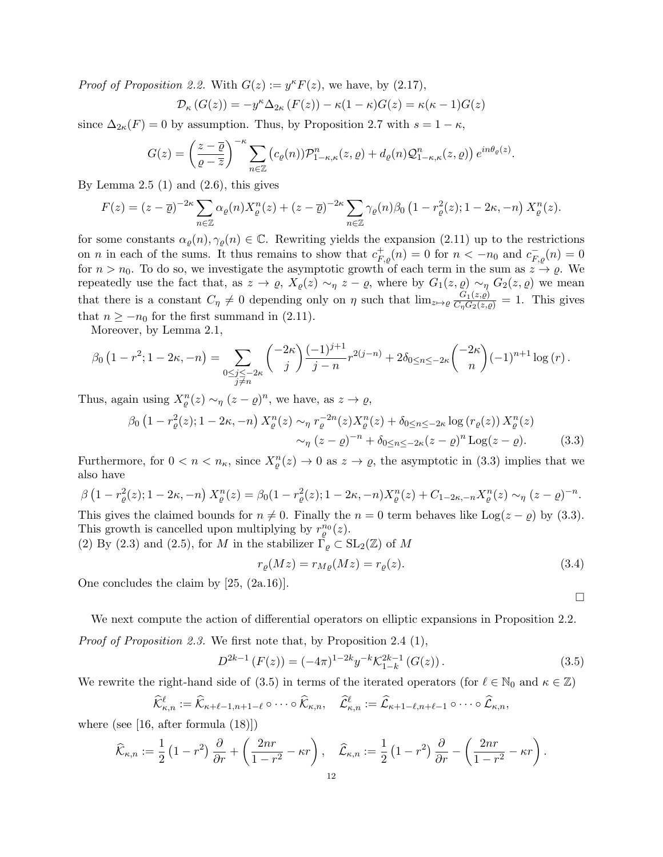*Proof of Proposition 2.2.* With  $G(z) := y^{\kappa} F(z)$ , we have, by (2.17),

$$
\mathcal{D}_{\kappa}(G(z)) = -y^{\kappa} \Delta_{2\kappa}(F(z)) - \kappa(1-\kappa)G(z) = \kappa(\kappa-1)G(z)
$$

since  $\Delta_{2\kappa}(F) = 0$  by assumption. Thus, by Proposition 2.7 with  $s = 1 - \kappa$ ,

$$
G(z) = \left(\frac{z-\overline{\varrho}}{\varrho-\overline{z}}\right)^{-\kappa} \sum_{n\in\mathbb{Z}} \left(c_{\varrho}(n)\right) \mathcal{P}_{1-\kappa,\kappa}^{n}(z,\varrho) + d_{\varrho}(n) \mathcal{Q}_{1-\kappa,\kappa}^{n}(z,\varrho)\right) e^{in\theta_{\varrho}(z)}.
$$

By Lemma  $2.5(1)$  and  $(2.6)$ , this gives

$$
F(z) = (z - \overline{\varrho})^{-2\kappa} \sum_{n \in \mathbb{Z}} \alpha_{\varrho}(n) X_{\varrho}^n(z) + (z - \overline{\varrho})^{-2\kappa} \sum_{n \in \mathbb{Z}} \gamma_{\varrho}(n) \beta_0 \left(1 - r_{\varrho}^2(z); 1 - 2\kappa, -n\right) X_{\varrho}^n(z).
$$

for some constants  $\alpha_{\varrho}(n), \gamma_{\varrho}(n) \in \mathbb{C}$ . Rewriting yields the expansion (2.11) up to the restrictions on *n* in each of the sums. It thus remains to show that  $c_{F,g}^+(n) = 0$  for  $n < -n_0$  and  $c_{F,g}^-(n) = 0$ for  $n > n_0$ . To do so, we investigate the asymptotic growth of each term in the sum as  $z \to \varrho$ . We repeatedly use the fact that, as  $z \to \varrho$ ,  $X_{\varrho}(z) \sim_{\eta} z - \varrho$ , where by  $G_1(z, \varrho) \sim_{\eta} G_2(z, \varrho)$  we mean that there is a constant  $C_\eta \neq 0$  depending only on  $\eta$  such that  $\lim_{z \to \varrho} \frac{G_1(z,\varrho)}{C_\eta G_2(z,\varrho)} = 1$ . This gives that  $n \geq -n_0$  for the first summand in (2.11).

Moreover, by Lemma 2.1,

$$
\beta_0 \left( 1 - r^2; 1 - 2\kappa, -n \right) = \sum_{\substack{0 \le j \le -2\kappa \\ j \ne n}} {\binom{-2\kappa}{j}} \frac{(-1)^{j+1}}{j-n} r^{2(j-n)} + 2 \delta_{0 \le n \le -2\kappa} {\binom{-2\kappa}{n}} (-1)^{n+1} \log(r).
$$

Thus, again using  $X_{\varrho}^{n}(z) \sim_{\eta} (z - \varrho)^{n}$ , we have, as  $z \to \varrho$ ,

$$
\beta_0 \left( 1 - r_\varrho^2(z); 1 - 2\kappa, -n \right) X_\varrho^n(z) \sim_\eta r_\varrho^{-2n}(z) X_\varrho^n(z) + \delta_{0 \le n \le -2\kappa} \log \left( r_\varrho(z) \right) X_\varrho^n(z) \sim_\eta (z - \varrho)^{-n} + \delta_{0 \le n \le -2\kappa} (z - \varrho)^n \log(z - \varrho).
$$
\n(3.3)

Furthermore, for  $0 < n < n_{\kappa}$ , since  $X_{\varrho}^{n}(z) \to 0$  as  $z \to \varrho$ , the asymptotic in (3.3) implies that we also have

$$
\beta \left( 1 - r_{\varrho}^{2}(z); 1 - 2\kappa, -n \right) X_{\varrho}^{n}(z) = \beta_{0} (1 - r_{\varrho}^{2}(z); 1 - 2\kappa, -n) X_{\varrho}^{n}(z) + C_{1 - 2\kappa, -n} X_{\varrho}^{n}(z) \sim_{\eta} (z - \varrho)^{-n}.
$$

This gives the claimed bounds for  $n \neq 0$ . Finally the  $n = 0$  term behaves like Log( $z - \varrho$ ) by (3.3). This growth is cancelled upon multiplying by  $r_\varrho^{n_0}(z)$ .

(2) By (2.3) and (2.5), for M in the stabilizer  $\Gamma_{\varrho} \subset SL_2(\mathbb{Z})$  of M

$$
r_{\varrho}(Mz) = r_{M\varrho}(Mz) = r_{\varrho}(z). \tag{3.4}
$$

One concludes the claim by [25, (2a.16)].

We next compute the action of differential operators on elliptic expansions in Proposition 2.2. Proof of Proposition 2.3. We first note that, by Proposition 2.4 (1),

$$
D^{2k-1}(F(z)) = (-4\pi)^{1-2k} y^{-k} \mathcal{K}_{1-k}^{2k-1}(G(z)).
$$
\n(3.5)

We rewrite the right-hand side of (3.5) in terms of the iterated operators (for  $\ell \in \mathbb{N}_0$  and  $\kappa \in \mathbb{Z}$ )

$$
\widehat{\mathcal{K}}_{\kappa,n}^{\ell} := \widehat{\mathcal{K}}_{\kappa+\ell-1,n+1-\ell} \circ \cdots \circ \widehat{\mathcal{K}}_{\kappa,n}, \quad \widehat{\mathcal{L}}_{\kappa,n}^{\ell} := \widehat{\mathcal{L}}_{\kappa+1-\ell,n+\ell-1} \circ \cdots \circ \widehat{\mathcal{L}}_{\kappa,n},
$$

where (see [16, after formula (18)])

$$
\widehat{\mathcal{K}}_{\kappa,n} := \frac{1}{2} \left( 1 - r^2 \right) \frac{\partial}{\partial r} + \left( \frac{2nr}{1 - r^2} - \kappa r \right), \quad \widehat{\mathcal{L}}_{\kappa,n} := \frac{1}{2} \left( 1 - r^2 \right) \frac{\partial}{\partial r} - \left( \frac{2nr}{1 - r^2} - \kappa r \right).
$$

 $\Box$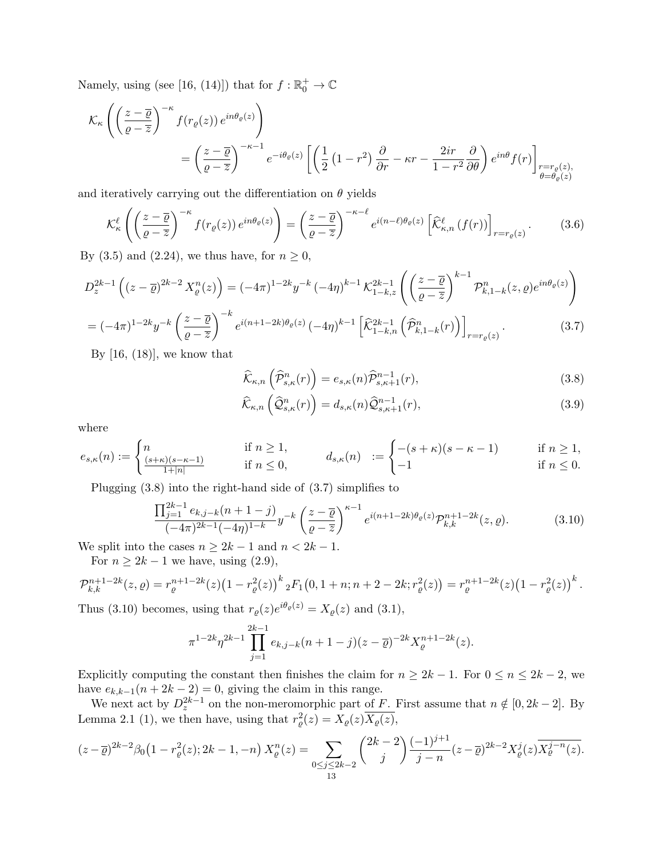Namely, using (see [16, (14)]) that for  $f : \mathbb{R}^+_0 \to \mathbb{C}$ 

$$
\mathcal{K}_{\kappa}\left(\left(\frac{z-\overline{\varrho}}{\varrho-\overline{z}}\right)^{-\kappa}f(r_{\varrho}(z))e^{in\theta_{\varrho}(z)}\right)
$$
\n
$$
=\left(\frac{z-\overline{\varrho}}{\varrho-\overline{z}}\right)^{-\kappa-1}e^{-i\theta_{\varrho}(z)}\left[\left(\frac{1}{2}\left(1-r^2\right)\frac{\partial}{\partial r}-\kappa r-\frac{2ir}{1-r^2}\frac{\partial}{\partial \theta}\right)e^{in\theta}f(r)\right]_{\substack{r=r_{\varrho}(z),\\ \theta=\theta_{\varrho}(z)}}
$$

and iteratively carrying out the differentiation on  $\theta$  yields

$$
\mathcal{K}_{\kappa}^{\ell}\left(\left(\frac{z-\overline{\varrho}}{\varrho-\overline{z}}\right)^{-\kappa}f(r_{\varrho}(z))e^{in\theta_{\varrho}(z)}\right)=\left(\frac{z-\overline{\varrho}}{\varrho-\overline{z}}\right)^{-\kappa-\ell}e^{i(n-\ell)\theta_{\varrho}(z)}\left[\widehat{\mathcal{K}}_{\kappa,n}^{\ell}\left(f(r)\right)\right]_{r=r_{\varrho}(z)}.\tag{3.6}
$$

By (3.5) and (2.24), we thus have, for  $n \geq 0$ ,

$$
D_z^{2k-1}\left((z-\overline{\varrho})^{2k-2}X_{\varrho}^n(z)\right) = (-4\pi)^{1-2k}y^{-k}(-4\eta)^{k-1} \mathcal{K}_{1-k,z}^{2k-1}\left(\left(\frac{z-\overline{\varrho}}{\varrho-\overline{z}}\right)^{k-1} \mathcal{P}_{k,1-k}^n(z,\varrho)e^{in\theta_{\varrho}(z)}\right)
$$

$$
= (-4\pi)^{1-2k}y^{-k}\left(\frac{z-\overline{\varrho}}{\varrho-\overline{z}}\right)^{-k}e^{i(n+1-2k)\theta_{\varrho}(z)}(-4\eta)^{k-1}\left[\widehat{\mathcal{K}}_{1-k,n}^{2k-1}\left(\widehat{\mathcal{P}}_{k,1-k}^n(r)\right)\right]_{r=r_{\varrho}(z)}.\tag{3.7}
$$

By  $[16, (18)]$ , we know that

$$
\widehat{\mathcal{K}}_{\kappa,n}\left(\widehat{\mathcal{P}}_{s,\kappa}^{n}(r)\right) = e_{s,\kappa}(n)\widehat{\mathcal{P}}_{s,\kappa+1}^{n-1}(r),\tag{3.8}
$$

$$
\widehat{\mathcal{K}}_{\kappa,n}\left(\widehat{\mathcal{Q}}_{s,\kappa}^{n}(r)\right) = d_{s,\kappa}(n)\widehat{\mathcal{Q}}_{s,\kappa+1}^{n-1}(r),\tag{3.9}
$$

where

$$
e_{s,\kappa}(n) := \begin{cases} n & \text{if } n \ge 1, \\ \frac{(s+\kappa)(s-\kappa-1)}{1+|n|} & \text{if } n \le 0, \end{cases} \qquad d_{s,\kappa}(n) := \begin{cases} -(s+\kappa)(s-\kappa-1) & \text{if } n \ge 1, \\ -1 & \text{if } n \le 0. \end{cases}
$$

Plugging (3.8) into the right-hand side of (3.7) simplifies to

$$
\frac{\prod_{j=1}^{2k-1} e_{k,j-k}(n+1-j)}{(-4\pi)^{2k-1}(-4\eta)^{1-k}} y^{-k} \left(\frac{z-\overline{\varrho}}{\varrho-z}\right)^{\kappa-1} e^{i(n+1-2k)\theta_{\varrho}(z)} \mathcal{P}_{k,k}^{n+1-2k}(z,\varrho).
$$
 (3.10)

We split into the cases  $n \geq 2k - 1$  and  $n < 2k - 1$ .

For  $n \geq 2k - 1$  we have, using  $(2.9)$ ,

$$
\mathcal{P}_{k,k}^{n+1-2k}(z,\varrho) = r_{\varrho}^{n+1-2k}(z)\big(1 - r_{\varrho}^2(z)\big)^k{}_2F_1\big(0, 1+n; n+2-2k; r_{\varrho}^2(z)\big) = r_{\varrho}^{n+1-2k}(z)\big(1 - r_{\varrho}^2(z)\big)^k.
$$

Thus (3.10) becomes, using that  $r_{\varrho}(z)e^{i\theta_{\varrho}(z)} = X_{\varrho}(z)$  and (3.1),

$$
\pi^{1-2k} \eta^{2k-1} \prod_{j=1}^{2k-1} e_{k,j-k} (n+1-j)(z-\overline{\varrho})^{-2k} X_{\varrho}^{n+1-2k}(z).
$$

Explicitly computing the constant then finishes the claim for  $n \ge 2k - 1$ . For  $0 \le n \le 2k - 2$ , we have  $e_{k,k-1}(n+2k-2)=0$ , giving the claim in this range.

We next act by  $D_z^{2k-1}$  on the non-meromorphic part of F. First assume that  $n \notin [0, 2k-2]$ . By Lemma 2.1 (1), we then have, using that  $r_{\varrho}^2(z) = X_{\varrho}(z) \overline{X_{\varrho}(z)}$ ,

$$
(z-\overline{\varrho})^{2k-2}\beta_0(1-r^2_{\varrho}(z);2k-1,-n)\,X_{\varrho}^n(z)=\sum_{\substack{0\leq j\leq 2k-2\\ 13}}\binom{2k-2}{j}\frac{(-1)^{j+1}}{j-n}(z-\overline{\varrho})^{2k-2}X_{\varrho}^j(z)\overline{X_{\varrho}^{j-n}(z)}.
$$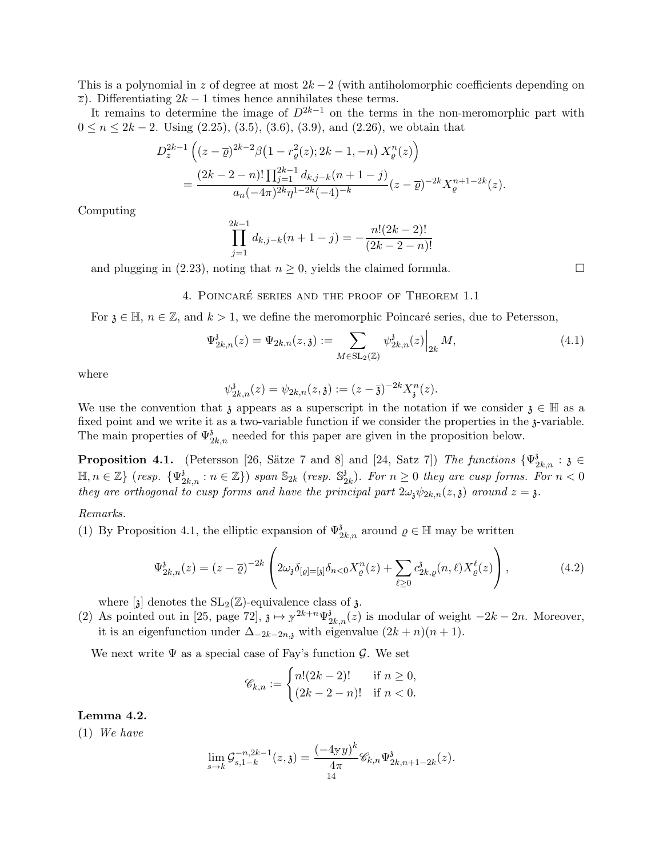This is a polynomial in z of degree at most  $2k-2$  (with antiholomorphic coefficients depending on  $\overline{z}$ ). Differentiating 2k – 1 times hence annihilates these terms.

It remains to determine the image of  $D^{2k-1}$  on the terms in the non-meromorphic part with  $0 \le n \le 2k - 2$ . Using  $(2.25)$ ,  $(3.5)$ ,  $(3.6)$ ,  $(3.9)$ , and  $(2.26)$ , we obtain that

$$
D_z^{2k-1} \left( (z - \overline{\varrho})^{2k-2} \beta \left( 1 - r_{\varrho}^2(z); 2k - 1, -n \right) X_{\varrho}^n(z) \right)
$$
  
= 
$$
\frac{(2k - 2 - n)! \prod_{j=1}^{2k-1} d_{k,j-k} (n + 1 - j)}{a_n (-4\pi)^{2k} \eta^{1 - 2k} (-4)^{-k}} (z - \overline{\varrho})^{-2k} X_{\varrho}^{n+1 - 2k}(z).
$$

Computing

$$
\prod_{j=1}^{2k-1} d_{k,j-k}(n+1-j) = -\frac{n!(2k-2)!}{(2k-2-n)!}
$$

and plugging in (2.23), noting that  $n \geq 0$ , yields the claimed formula.

4. POINCARÉ SERIES AND THE PROOF OF THEOREM 1.1

For  $\mathfrak{z} \in \mathbb{H}$ ,  $n \in \mathbb{Z}$ , and  $k > 1$ , we define the meromorphic Poincaré series, due to Petersson,

$$
\Psi_{2k,n}^{\mathfrak{z}}(z) = \Psi_{2k,n}(z,\mathfrak{z}) := \sum_{M \in SL_2(\mathbb{Z})} \psi_{2k,n}^{\mathfrak{z}}(z) \Big|_{2k} M,
$$
\n(4.1)

where

$$
\psi^{\mathfrak{z}}_{2k,n}(z) = \psi_{2k,n}(z,\mathfrak{z}) := (z-\overline{\mathfrak{z}})^{-2k} X_{\mathfrak{z}}^{n}(z).
$$

We use the convention that  $\chi$  appears as a superscript in the notation if we consider  $\chi \in \mathbb{H}$  as a fixed point and we write it as a two-variable function if we consider the properties in the 3-variable. The main properties of  $\Psi_{2k,n}$  needed for this paper are given in the proposition below.

**Proposition 4.1.** (Petersson [26, Sätze 7 and 8] and [24, Satz 7]) The functions  $\{\Psi_{2k,n}^{\delta} : \delta \in$  $\mathbb{H}, n \in \mathbb{Z}$  {  $resp. \ \{\Psi_{2k,n}^3 : n \in \mathbb{Z}\}$  } span  $\mathbb{S}_{2k}$  (resp.  $\mathbb{S}_2^3$  $\binom{3}{2k}$ . For  $n \geq 0$  they are cusp forms. For  $n < 0$ they are orthogonal to cusp forms and have the principal part  $2\omega_{\chi}\psi_{2k,n}(z,\chi)$  around  $z=\chi$ .

#### Remarks.

(1) By Proposition 4.1, the elliptic expansion of  $\Psi_{2k,n}^3$  around  $\varrho \in \mathbb{H}$  may be written

$$
\Psi_{2k,n}^{\delta}(z) = (z - \overline{\varrho})^{-2k} \left( 2\omega_{\delta} \delta_{[\varrho] = [\delta]} \delta_{n<0} X_{\varrho}^n(z) + \sum_{\ell \ge 0} c_{2k,\varrho}^{\delta}(n,\ell) X_{\varrho}^{\ell}(z) \right), \tag{4.2}
$$

where  $[\mathfrak{z}]$  denotes the SL<sub>2</sub>( $\mathbb{Z}$ )-equivalence class of  $\mathfrak{z}$ .

(2) As pointed out in [25, page 72],  $\mathfrak{z} \mapsto y^{2k+n} \Psi_{2k,n}^{\mathfrak{z}}(z)$  is modular of weight  $-2k-2n$ . Moreover, it is an eigenfunction under  $\Delta_{-2k-2n,j}$  with eigenvalue  $(2k+n)(n+1)$ .

We next write  $\Psi$  as a special case of Fay's function  $\mathcal{G}$ . We set

$$
\mathscr{C}_{k,n} := \begin{cases} n!(2k-2)! & \text{if } n \ge 0, \\ (2k-2-n)! & \text{if } n < 0. \end{cases}
$$

Lemma 4.2.

(1) We have

$$
\lim_{s \to k} \mathcal{G}_{s,1-k}^{-n,2k-1}(z,\mathfrak{z}) = \frac{(-4\mathfrak{y}y)^k}{4\pi} \mathscr{C}_{k,n} \Psi_{2k,n+1-2k}^{\mathfrak{z}}(z).
$$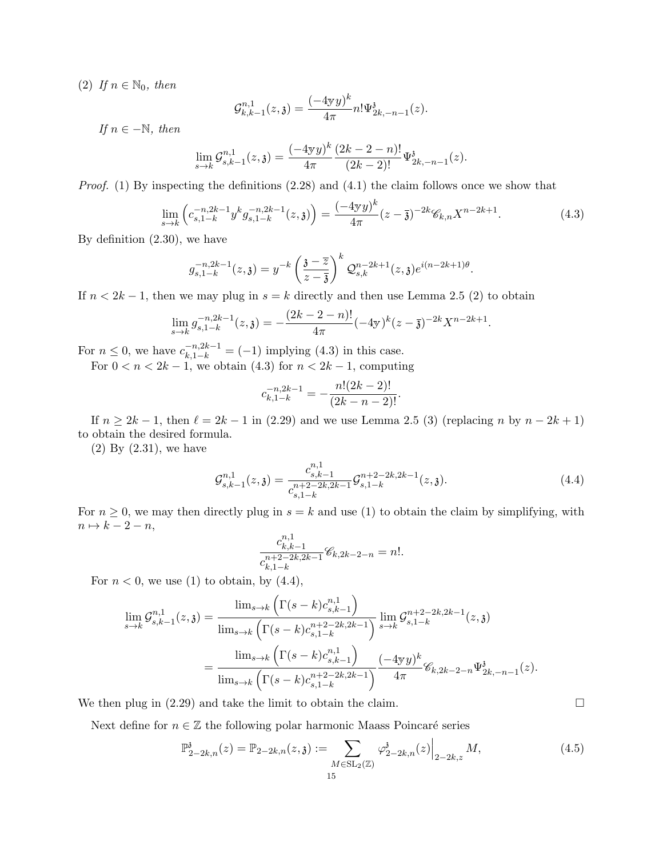(2) If  $n \in \mathbb{N}_0$ , then

$$
\mathcal{G}^{n,1}_{k,k-1}(z,\mathfrak{z}) = \frac{(-4\mathfrak{y}y)^k}{4\pi} n! \Psi^{\mathfrak{z}}_{2k,-n-1}(z).
$$

If  $n \in -\mathbb{N}$ , then

$$
\lim_{s \to k} \mathcal{G}_{s,k-1}^{n,1}(z,\mathfrak{z}) = \frac{(-4\mathfrak{y}y)^k}{4\pi} \frac{(2k-2-n)!}{(2k-2)!} \Psi_{2k,-n-1}^{\mathfrak{z}}(z).
$$

*Proof.* (1) By inspecting the definitions  $(2.28)$  and  $(4.1)$  the claim follows once we show that

$$
\lim_{s \to k} \left( c_{s, 1-k}^{-n, 2k-1} y^k g_{s, 1-k}^{-n, 2k-1}(z, \mathfrak{z}) \right) = \frac{(-4\mathfrak{y}y)^k}{4\pi} (z - \overline{\mathfrak{z}})^{-2k} \mathscr{C}_{k, n} X^{n-2k+1}.
$$
\n(4.3)

By definition (2.30), we have

$$
g_{s,1-k}^{-n,2k-1}(z,\mathfrak{z})=y^{-k}\left(\frac{\mathfrak{z}-\overline{z}}{z-\overline{\mathfrak{z}}}\right)^k\mathcal{Q}_{s,k}^{n-2k+1}(z,\mathfrak{z})e^{i(n-2k+1)\theta}.
$$

If  $n < 2k - 1$ , then we may plug in  $s = k$  directly and then use Lemma 2.5 (2) to obtain

$$
\lim_{s \to k} g_{s, 1-k}^{-n, 2k-1}(z, \mathfrak{z}) = -\frac{(2k-2-n)!}{4\pi} (-4\mathfrak{y})^k (z-\overline{\mathfrak{z}})^{-2k} X^{n-2k+1}.
$$

For  $n \le 0$ , we have  $c_{k,1-k}^{-n,2k-1} = (-1)$  implying (4.3) in this case.

For  $0 < n < 2k - 1$ , we obtain (4.3) for  $n < 2k - 1$ , computing

$$
c_{k,1-k}^{-n,2k-1} = -\frac{n!(2k-2)!}{(2k-n-2)!}.
$$

If  $n \ge 2k - 1$ , then  $\ell = 2k - 1$  in (2.29) and we use Lemma 2.5 (3) (replacing n by  $n - 2k + 1$ ) to obtain the desired formula.

(2) By (2.31), we have

$$
\mathcal{G}_{s,k-1}^{n,1}(z,\mathfrak{z}) = \frac{c_{s,k-1}^{n,1}}{c_{s,1-k}^{n+2-2k,2k-1}} \mathcal{G}_{s,1-k}^{n+2-2k,2k-1}(z,\mathfrak{z}).\tag{4.4}
$$

For  $n \geq 0$ , we may then directly plug in  $s = k$  and use (1) to obtain the claim by simplifying, with  $n \mapsto k - 2 - n$ ,

$$
\frac{c_{k,k-1}^{n,1}}{c_{k,1-k}^{n+2-2k,2k-1}}\mathscr{C}_{k,2k-2-n} = n!.
$$

For  $n < 0$ , we use (1) to obtain, by (4.4),

$$
\lim_{s \to k} \mathcal{G}_{s,k-1}^{n,1}(z,\mathfrak{z}) = \frac{\lim_{s \to k} \left( \Gamma(s-k)c_{s,k-1}^{n,1} \right)}{\lim_{s \to k} \left( \Gamma(s-k)c_{s,1-k}^{n+2-2k,2k-1} \right)} \lim_{s \to k} \mathcal{G}_{s,1-k}^{n+2-2k,2k-1}(z,\mathfrak{z})
$$
\n
$$
= \frac{\lim_{s \to k} \left( \Gamma(s-k)c_{s,k-1}^{n,1} \right)}{\lim_{s \to k} \left( \Gamma(s-k)c_{s,1-k}^{n+2-2k,2k-1} \right)} \frac{(-4\mathbf{y}y)^k}{4\pi} \mathcal{C}_{k,2k-2-n} \Psi_{2k,-n-1}^{\mathfrak{z}}(z).
$$

We then plug in  $(2.29)$  and take the limit to obtain the claim.

Next define for  $n \in \mathbb{Z}$  the following polar harmonic Maass Poincaré series

$$
\mathbb{P}_{2-2k,n}^{\mathfrak{z}}(z) = \mathbb{P}_{2-2k,n}(z,\mathfrak{z}) := \sum_{M \in \text{SL}_2(\mathbb{Z})} \varphi_{2-2k,n}^{\mathfrak{z}}(z) \Big|_{2-2k,z} M,
$$
\n(4.5)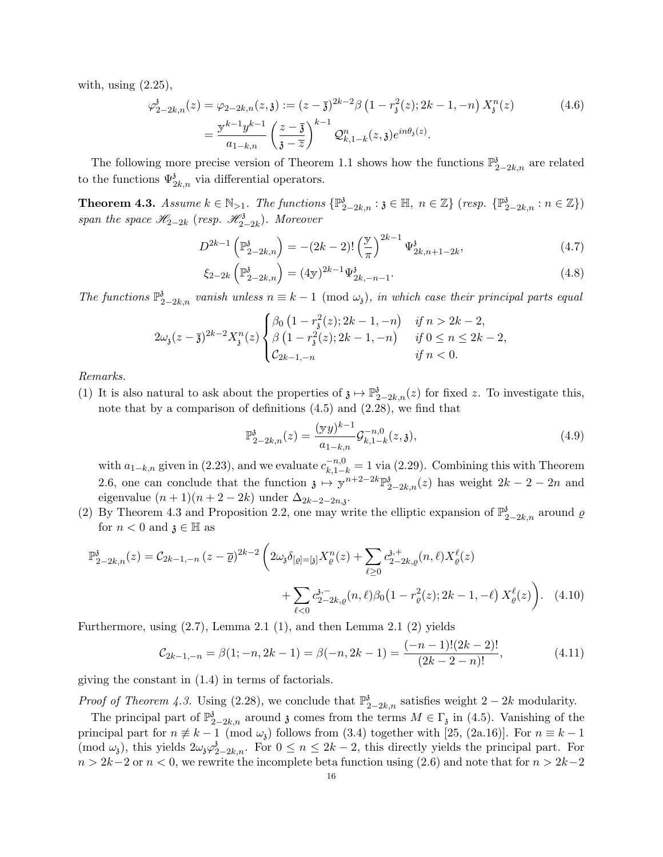with, using  $(2.25)$ ,

$$
\varphi_{2-2k,n}^{\delta}(z) = \varphi_{2-2k,n}(z,\mathfrak{z}) := (z-\overline{\mathfrak{z}})^{2k-2} \beta \left(1 - r_{\mathfrak{z}}^2(z); 2k-1, -n\right) X_{\mathfrak{z}}^n(z)
$$
\n
$$
= \frac{\mathfrak{z}^{k-1} y^{k-1}}{a_{1-k,n}} \left(\frac{z-\overline{\mathfrak{z}}}{\mathfrak{z}-\overline{z}}\right)^{k-1} \mathcal{Q}_{k,1-k}^n(z,\mathfrak{z}) e^{in\theta_{\mathfrak{z}}(z)}.
$$
\n(4.6)

The following more precise version of Theorem 1.1 shows how the functions  $\mathbb{P}^3_{2-2k,n}$  are related to the functions  $\Psi_{2k,n}^3$  via differential operators.

**Theorem 4.3.** Assume  $k \in \mathbb{N}_{>1}$ . The functions  $\{\mathbb{P}^3_{2-2k,n} : \mathfrak{z} \in \mathbb{H}, n \in \mathbb{Z}\}$  (resp.  $\{\mathbb{P}^3_{2-2k,n} : n \in \mathbb{Z}\}\$ ) span the space  $\mathscr{H}_{2-2k}$  (resp.  $\mathscr{H}_{2-2k}^3$ ). Moreover

$$
D^{2k-1}\left(\mathbb{P}_{2-2k,n}^{\mathfrak{z}}\right) = -(2k-2)! \left(\frac{\mathbb{y}}{\pi}\right)^{2k-1} \Psi_{2k,n+1-2k}^{\mathfrak{z}},\tag{4.7}
$$

$$
\xi_{2-2k} \left( \mathbb{P}_{2-2k,n}^{\mathfrak{z}} \right) = (4\mathbf{y})^{2k-1} \Psi_{2k,-n-1}^{\mathfrak{z}}.
$$
\n(4.8)

The functions  $\mathbb{P}^3_{2-2k,n}$  vanish unless  $n \equiv k-1 \pmod{\omega_i}$ , in which case their principal parts equal

$$
2\omega_{\mathfrak{z}}(z-\overline{\mathfrak{z}})^{2k-2}X_{\mathfrak{z}}^n(z)\begin{cases} \beta_0\left(1-r_{\mathfrak{z}}^2(z); 2k-1, -n\right) & \text{if } n > 2k-2, \\ \beta\left(1-r_{\mathfrak{z}}^2(z); 2k-1, -n\right) & \text{if } 0 \le n \le 2k-2, \\ \mathcal{C}_{2k-1, -n} & \text{if } n < 0. \end{cases}
$$

Remarks.

(1) It is also natural to ask about the properties of  $\mathfrak{z} \mapsto \mathbb{P}^3_{2-2k,n}(z)$  for fixed z. To investigate this, note that by a comparison of definitions (4.5) and (2.28), we find that

$$
\mathbb{P}_{2-2k,n}^{\mathfrak{z}}(z) = \frac{(\mathbf{y}y)^{k-1}}{a_{1-k,n}} \mathcal{G}_{k,1-k}^{-n,0}(z,\mathfrak{z}),\tag{4.9}
$$

with  $a_{1-k,n}$  given in (2.23), and we evaluate  $c_{k,1-k}^{-n,0} = 1$  via (2.29). Combining this with Theorem 2.6, one can conclude that the function  $\mathfrak{z} \mapsto \mathfrak{y}^{n+2-2k} \mathbb{P}^3_{2-2k,n}(z)$  has weight  $2k - 2 - 2n$  and eigenvalue  $(n+1)(n+2-2k)$  under  $\Delta_{2k-2-2n,3}$ .

(2) By Theorem 4.3 and Proposition 2.2, one may write the elliptic expansion of  $\mathbb{P}^3_{2-2k,n}$  around  $\varrho$ for  $n < 0$  and  $\mathfrak{z} \in \mathbb{H}$  as

$$
\mathbb{P}_{2-2k,n}^{\delta}(z) = C_{2k-1,-n} (z - \overline{\varrho})^{2k-2} \left( 2\omega_{\delta} \delta_{[\varrho] = [\delta]} X_{\varrho}^{n}(z) + \sum_{\ell \ge 0} c_{2-2k,\varrho}^{\delta,+}(n,\ell) X_{\varrho}^{\ell}(z) + \sum_{\ell < 0} c_{2-2k,\varrho}^{\delta,-}(n,\ell) \beta_{0} (1 - r_{\varrho}^{2}(z); 2k - 1, -\ell) X_{\varrho}^{\ell}(z) \right). \tag{4.10}
$$

Furthermore, using (2.7), Lemma 2.1 (1), and then Lemma 2.1 (2) yields

$$
C_{2k-1,-n} = \beta(1;-n, 2k-1) = \beta(-n, 2k-1) = \frac{(-n-1)!(2k-2)!}{(2k-2-n)!},
$$
\n(4.11)

giving the constant in (1.4) in terms of factorials.

*Proof of Theorem 4.3.* Using (2.28), we conclude that  $\mathbb{P}^3_{2-2k,n}$  satisfies weight  $2-2k$  modularity.

The principal part of  $\mathbb{P}^3_{2-2k,n}$  around  $\mathfrak z$  comes from the terms  $M \in \Gamma_{\mathfrak z}$  in (4.5). Vanishing of the principal part for  $n \neq k - 1 \pmod{\omega_i}$  follows from (3.4) together with [25, (2a.16)]. For  $n \equiv k - 1$  $(\text{mod } \omega_i)$ , this yields  $2\omega_i\varphi_{2-2k,n}^i$ . For  $0 \leq n \leq 2k-2$ , this directly yields the principal part. For  $n > 2k-2$  or  $n < 0$ , we rewrite the incomplete beta function using (2.6) and note that for  $n > 2k-2$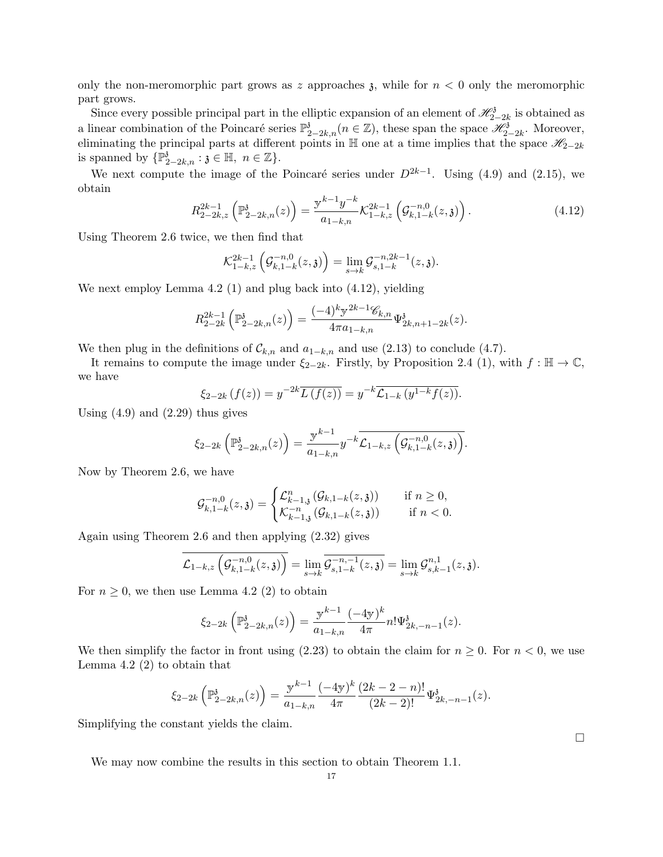only the non-meromorphic part grows as z approaches  $\chi$ , while for  $n < 0$  only the meromorphic part grows.

Since every possible principal part in the elliptic expansion of an element of  $\mathscr{H}_{2-2k}^{\delta}$  is obtained as a linear combination of the Poincaré series  $\mathbb{P}^3_{2-2k,n}(n \in \mathbb{Z})$ , these span the space  $\mathscr{H}^3_{2-2k}$ . Moreover, eliminating the principal parts at different points in  $\mathbb{H}$  one at a time implies that the space  $\mathscr{H}_{2-2k}$ is spanned by  $\{\mathbb{P}^3_{2-2k,n} : \mathfrak{z} \in \mathbb{H}, n \in \mathbb{Z}\}.$ 

We next compute the image of the Poincaré series under  $D^{2k-1}$ . Using (4.9) and (2.15), we obtain

$$
R_{2-2k,z}^{2k-1}\left(\mathbb{P}_{2-2k,n}^{\mathfrak{z}}(z)\right) = \frac{\mathbb{y}^{k-1}y^{-k}}{a_{1-k,n}} \mathcal{K}_{1-k,z}^{2k-1}\left(\mathcal{G}_{k,1-k}^{-n,0}(z,\mathfrak{z})\right). \tag{4.12}
$$

Using Theorem 2.6 twice, we then find that

$$
\mathcal{K}_{1-k,z}^{2k-1}\left(\mathcal{G}_{k,1-k}^{-n,0}(z,\mathfrak{z})\right)=\lim_{s\to k}\mathcal{G}_{s,1-k}^{-n,2k-1}(z,\mathfrak{z}).
$$

We next employ Lemma 4.2 (1) and plug back into  $(4.12)$ , yielding

$$
R_{2-2k}^{2k-1} \left( \mathbb{P}_{2-2k,n}^3(z) \right) = \frac{(-4)^k y^{2k-1} \mathscr{C}_{k,n}}{4\pi a_{1-k,n}} \Psi_{2k,n+1-2k}^3(z).
$$

We then plug in the definitions of  $\mathcal{C}_{k,n}$  and  $a_{1-k,n}$  and use (2.13) to conclude (4.7).

It remains to compute the image under  $\xi_{2-2k}$ . Firstly, by Proposition 2.4 (1), with  $f : \mathbb{H} \to \mathbb{C}$ , we have

$$
\xi_{2-2k}(f(z)) = y^{-2k} \overline{L(f(z))} = y^{-k} \mathcal{L}_{1-k}(y^{1-k} f(z)).
$$

Using  $(4.9)$  and  $(2.29)$  thus gives

$$
\xi_{2-2k}\left(\mathbb{P}_{2-2k,n}^{\mathfrak{z}}(z)\right)=\frac{\mathbb{y}^{k-1}}{a_{1-k,n}}y^{-k}\overline{\mathcal{L}_{1-k,z}\left(\mathcal{G}_{k,1-k}^{-n,0}(z,\mathfrak{z})\right)}.
$$

Now by Theorem 2.6, we have

$$
\mathcal{G}_{k,1-k}^{-n,0}(z,\mathfrak{z}) = \begin{cases} \mathcal{L}_{k-1,\mathfrak{z}}^n(\mathcal{G}_{k,1-k}(z,\mathfrak{z})) & \text{if } n \ge 0, \\ \mathcal{K}_{k-1,\mathfrak{z}}^{-n}(\mathcal{G}_{k,1-k}(z,\mathfrak{z})) & \text{if } n < 0. \end{cases}
$$

Again using Theorem 2.6 and then applying (2.32) gives

$$
\mathcal{L}_{1-k,z}\left(\mathcal{G}_{k,1-k}^{-n,0}(z,\mathfrak{z})\right) = \lim_{s \to k} \overline{\mathcal{G}_{s,1-k}^{-n,-1}(z,\mathfrak{z})} = \lim_{s \to k} \mathcal{G}_{s,k-1}^{n,1}(z,\mathfrak{z}).
$$

For  $n \geq 0$ , we then use Lemma 4.2 (2) to obtain

$$
\xi_{2-2k}\left(\mathbb{P}_{2-2k,n}^{\mathfrak{z}}(z)\right)=\frac{\mathbf{y}^{k-1}}{a_{1-k,n}}\frac{(-4\mathbf{y})^k}{4\pi}n!\Psi_{2k,-n-1}^{\mathfrak{z}}(z).
$$

We then simplify the factor in front using  $(2.23)$  to obtain the claim for  $n \geq 0$ . For  $n < 0$ , we use Lemma 4.2 (2) to obtain that

$$
\xi_{2-2k}\left(\mathbb{P}_{2-2k,n}^{\delta}(z)\right) = \frac{\mathbb{y}^{k-1}}{a_{1-k,n}} \frac{(-4\mathbb{y})^k}{4\pi} \frac{(2k-2-n)!}{(2k-2)!} \Psi_{2k,-n-1}^{\delta}(z).
$$

Simplifying the constant yields the claim.

We may now combine the results in this section to obtain Theorem 1.1.

 $\Box$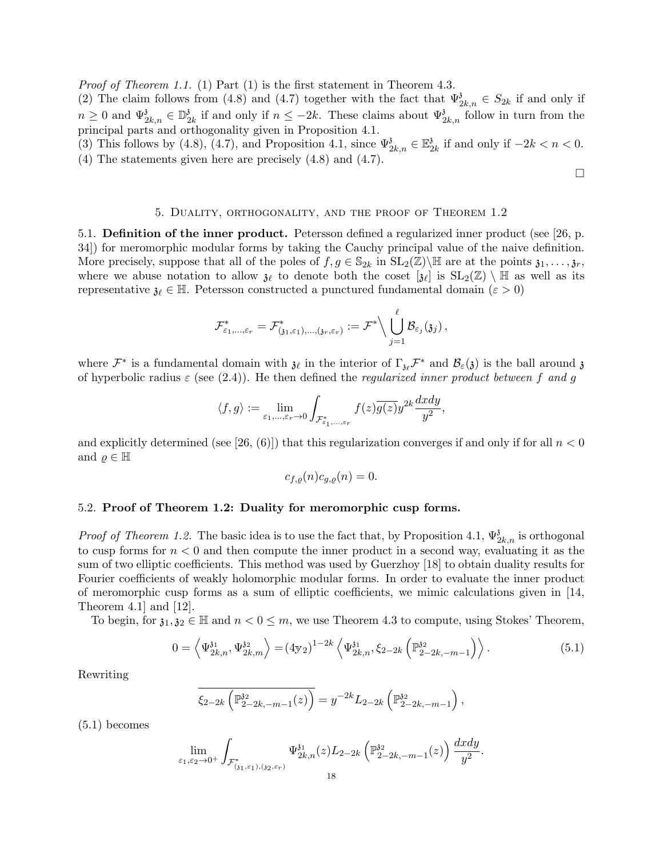Proof of Theorem 1.1. (1) Part (1) is the first statement in Theorem 4.3.

(2) The claim follows from (4.8) and (4.7) together with the fact that  $\Psi_{2k,n}^3 \in S_{2k}$  if and only if  $n \geq 0$  and  $\Psi_{2k,n}^{\mathfrak{z}} \in \mathbb{D}_{2}^{\mathfrak{z}}$  $\frac{3}{2k}$  if and only if  $n \leq -2k$ . These claims about  $\Psi_{2k,n}^3$  follow in turn from the principal parts and orthogonality given in Proposition 4.1.

(3) This follows by (4.8), (4.7), and Proposition 4.1, since  $\Psi_{2k,n}^{\delta} \in \mathbb{E}_2^3$  $\frac{3}{2k}$  if and only if  $-2k < n < 0$ . (4) The statements given here are precisely (4.8) and (4.7).

 $\Box$ 

### 5. Duality, orthogonality, and the proof of Theorem 1.2

5.1. Definition of the inner product. Petersson defined a regularized inner product (see [26, p. 34]) for meromorphic modular forms by taking the Cauchy principal value of the naive definition. More precisely, suppose that all of the poles of  $f, g \in \mathbb{S}_{2k}$  in  $SL_2(\mathbb{Z})\backslash \mathbb{H}$  are at the points  $\mathfrak{z}_1, \ldots, \mathfrak{z}_r$ , where we abuse notation to allow  $\mathfrak{z}_\ell$  to denote both the coset  $[\mathfrak{z}_\ell]$  is  $SL_2(\mathbb{Z}) \setminus \mathbb{H}$  as well as its representative  $\mathfrak{z}_\ell \in \mathbb{H}$ . Petersson constructed a punctured fundamental domain ( $\varepsilon > 0$ )

$$
\mathcal{F}^*_{\varepsilon_1,...,\varepsilon_r}=\mathcal{F}^*_{(\mathfrak{z}_1,\varepsilon_1),...,(\mathfrak{z}_r,\varepsilon_r)}:=\mathcal{F}^*\Big\backslash \bigcup_{j=1}^\ell \mathcal{B}_{\varepsilon_j}(\mathfrak{z}_j)\,,
$$

where  $\mathcal{F}^*$  is a fundamental domain with  $\mathfrak{z}_\ell$  in the interior of  $\Gamma_{\mathfrak{z}_\ell}\mathcal{F}^*$  and  $\mathcal{B}_\varepsilon(\mathfrak{z})$  is the ball around  $\mathfrak{z}$ of hyperbolic radius  $\varepsilon$  (see (2.4)). He then defined the *regularized inner product between* f and g

$$
\langle f,g\rangle:=\lim_{\varepsilon_1,\ldots,\varepsilon_r\to 0}\int_{\mathcal{F}_{\varepsilon_1,\ldots,\varepsilon_r}^*}f(z)\overline{g(z)}y^{2k}\frac{dxdy}{y^2},
$$

and explicitly determined (see [26, (6)]) that this regularization converges if and only if for all  $n < 0$ and  $\rho \in \mathbb{H}$ 

$$
c_{f,\varrho}(n)c_{g,\varrho}(n)=0.
$$

### 5.2. Proof of Theorem 1.2: Duality for meromorphic cusp forms.

*Proof of Theorem 1.2.* The basic idea is to use the fact that, by Proposition 4.1,  $\Psi_{2k,n}^{\delta}$  is orthogonal to cusp forms for  $n < 0$  and then compute the inner product in a second way, evaluating it as the sum of two elliptic coefficients. This method was used by Guerzhoy [18] to obtain duality results for Fourier coefficients of weakly holomorphic modular forms. In order to evaluate the inner product of meromorphic cusp forms as a sum of elliptic coefficients, we mimic calculations given in [14, Theorem 4.1] and [12].

To begin, for  $\mathfrak{z}_1, \mathfrak{z}_2 \in \mathbb{H}$  and  $n < 0 \leq m$ , we use Theorem 4.3 to compute, using Stokes' Theorem,

$$
0 = \left\langle \Psi_{2k,n}^{31}, \Psi_{2k,m}^{32} \right\rangle = (4\text{y}_2)^{1-2k} \left\langle \Psi_{2k,n}^{31}, \xi_{2-2k} \left( \mathbb{P}_{2-2k,-m-1}^{32} \right) \right\rangle. \tag{5.1}
$$

Rewriting

$$
\overline{\xi_{2-2k} \left( \mathbb{P}_{2-2k,-m-1}^{32}(z) \right)} = y^{-2k} L_{2-2k} \left( \mathbb{P}_{2-2k,-m-1}^{32} \right),
$$

(5.1) becomes

$$
\lim_{\varepsilon_1,\varepsilon_2\to 0^+}\int_{\mathcal{F}^*_{(3_1,\varepsilon_1),(3_2,\varepsilon_r)}}\Psi^{31}_{2k,n}(z)L_{2-2k}\left(\mathbb{P}^{32}_{2-2k,-m-1}(z)\right)\frac{dxdy}{y^2}.
$$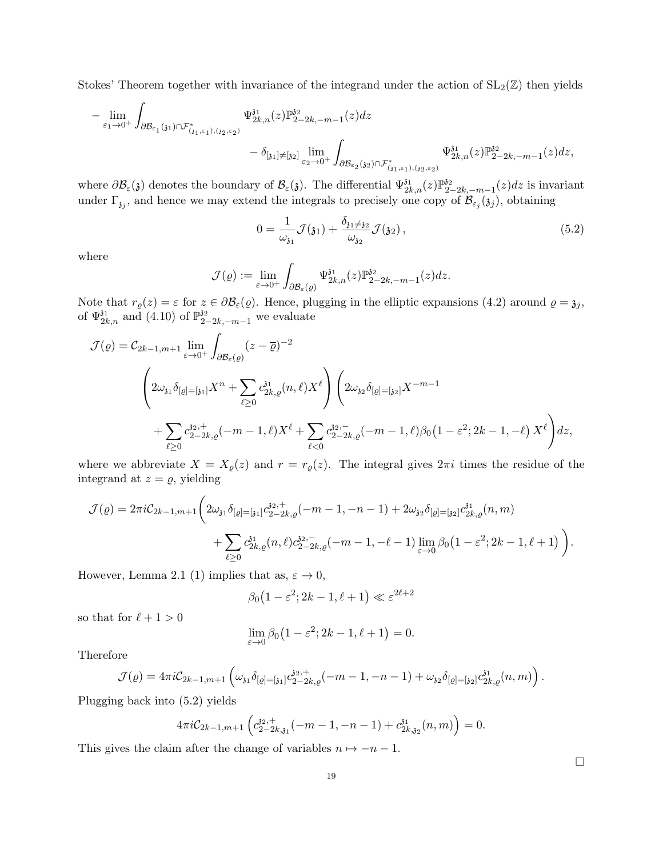Stokes' Theorem together with invariance of the integrand under the action of  $SL_2(\mathbb{Z})$  then yields

$$
-\lim_{\varepsilon_1 \to 0^+} \int_{\partial \mathcal{B}_{\varepsilon_1}(\mathfrak{z}_1) \cap \mathcal{F}_{(\mathfrak{z}_1,\varepsilon_1),(\mathfrak{z}_2,\varepsilon_2)}^*} \Psi^{ \mathfrak{z}_1}_{2k,n}(z) \mathbb{P}^{ \mathfrak{z}_2}_{2-2k,-m-1}(z) dz - \delta_{[\mathfrak{z}_1] \neq [\mathfrak{z}_2]} \lim_{\varepsilon_2 \to 0^+} \int_{\partial \mathcal{B}_{\varepsilon_2}(\mathfrak{z}_2) \cap \mathcal{F}_{(\mathfrak{z}_1,\varepsilon_1),(\mathfrak{z}_2,\varepsilon_2)}^*} \Psi^{ \mathfrak{z}_1}_{2k,n}(z) \mathbb{P}^{ \mathfrak{z}_2}_{2-2k,-m-1}(z) dz,
$$

where  $\partial \mathcal{B}_{\varepsilon}(\mathfrak{z})$  denotes the boundary of  $\mathcal{B}_{\varepsilon}(\mathfrak{z})$ . The differential  $\Psi_{2k,n}^{31}(z) \mathbb{P}_{2k,n}^{32}$  $a_{2-2k,-m-1}^{32}(z)dz$  is invariant under  $\Gamma_{\mathfrak{z}_j}$ , and hence we may extend the integrals to precisely one copy of  $\mathcal{B}_{\varepsilon_j}(\mathfrak{z}_j)$ , obtaining

$$
0 = \frac{1}{\omega_{\mathfrak{z}_1}} \mathcal{J}(\mathfrak{z}_1) + \frac{\delta_{\mathfrak{z}_1 \neq \mathfrak{z}_2}}{\omega_{\mathfrak{z}_2}} \mathcal{J}(\mathfrak{z}_2), \tag{5.2}
$$

where

$$
\mathcal{J}(\varrho) := \lim_{\varepsilon \to 0^+} \int_{\partial \mathcal{B}_{\varepsilon}(\varrho)} \Psi^{31}_{2k,n}(z) \mathbb{P}^{32}_{2-2k,-m-1}(z) dz.
$$

Note that  $r_{\varrho}(z) = \varepsilon$  for  $z \in \partial \mathcal{B}_{\varepsilon}(\varrho)$ . Hence, plugging in the elliptic expansions (4.2) around  $\varrho = \mathfrak{z}_j$ , of  $\Psi_{2k,n}^{31}$  and (4.10) of  $\mathbb{P}_{2-2k,-m-1}^{32}$  we evaluate

$$
\mathcal{J}(\varrho) = C_{2k-1,m+1} \lim_{\varepsilon \to 0^+} \int_{\partial \mathcal{B}_{\varepsilon}(\varrho)} (z - \overline{\varrho})^{-2}
$$
  

$$
\left(2\omega_{31}\delta_{\lbrack\varrho\rbrack=\lbrack 31\rbrack}X^n + \sum_{\ell \geq 0} c_{2k,\varrho}^{31}(n,\ell)X^{\ell}\right) \left(2\omega_{32}\delta_{\lbrack\varrho\rbrack=\lbrack 32\rbrack}X^{-m-1} + \sum_{\ell \geq 0} c_{2-2k,\varrho}^{32,+}(-m-1,\ell)X^{\ell} + \sum_{\ell < 0} c_{2-2k,\varrho}^{32,-}(-m-1,\ell)\beta_0(1-\varepsilon^2;2k-1,-\ell)X^{\ell}\right)dz,
$$

where we abbreviate  $X = X_{\varrho}(z)$  and  $r = r_{\varrho}(z)$ . The integral gives  $2\pi i$  times the residue of the integrand at  $z = \varrho$ , yielding

$$
\mathcal{J}(\varrho) = 2\pi i C_{2k-1,m+1} \bigg( 2\omega_{31} \delta_{[\varrho]=[\mathfrak{z}_1]} c_{2-2k,\varrho}^{\mathfrak{z}_2,+}(-m-1,-n-1) + 2\omega_{32} \delta_{[\varrho]=[\mathfrak{z}_2]} c_{2k,\varrho}^{\mathfrak{z}_1}(n,m) + \sum_{\ell \geq 0} c_{2k,\varrho}^{\mathfrak{z}_1}(n,\ell) c_{2-2k,\varrho}^{\mathfrak{z}_2,-}(-m-1,-\ell-1) \lim_{\varepsilon \to 0} \beta_0 \big(1 - \varepsilon^2; 2k-1,\ell+1\big)\bigg).
$$

However, Lemma 2.1 (1) implies that as,  $\varepsilon \to 0$ ,

$$
\beta_0\big(1-\varepsilon^2; 2k-1, \ell+1\big) \ll \varepsilon^{2\ell+2}
$$

so that for  $\ell + 1 > 0$ 

$$
\lim_{\varepsilon \to 0} \beta_0 \left( 1 - \varepsilon^2; 2k - 1, \ell + 1 \right) = 0.
$$

Therefore

$$
\mathcal{J}(\varrho) = 4\pi i C_{2k-1,m+1} \left( \omega_{31} \delta_{[\varrho] = [31]} c_{2-2k,\varrho}^{32,+}(-m-1,-n-1) + \omega_{32} \delta_{[\varrho] = [32]} c_{2k,\varrho}^{31}(n,m) \right).
$$

Plugging back into (5.2) yields

$$
4\pi i \mathcal{C}_{2k-1,m+1} \left( c_{2-2k,31}^{32,+}(-m-1,-n-1) + c_{2k,32}^{31}(n,m) \right) = 0.
$$

This gives the claim after the change of variables  $n \mapsto -n-1$ .

 $\Box$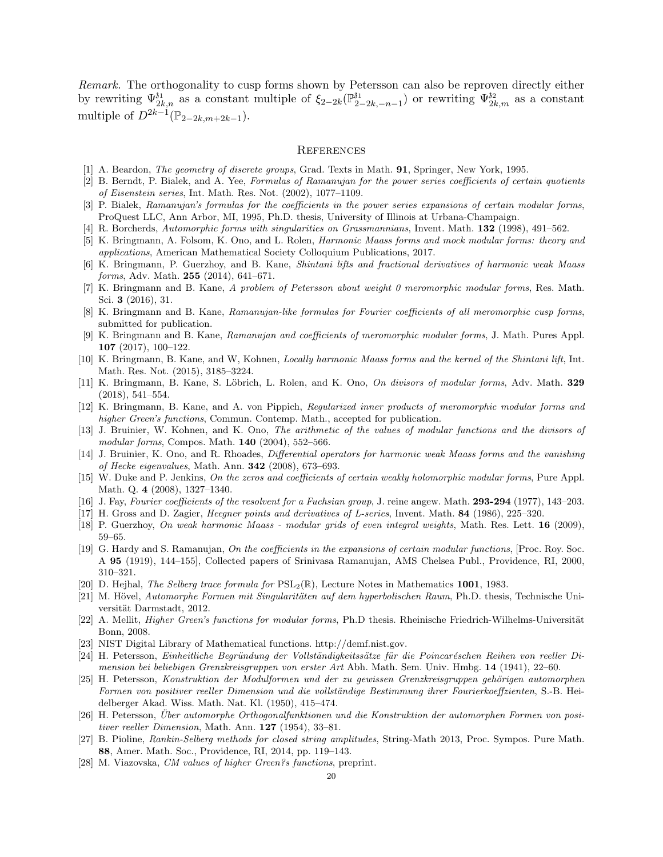Remark. The orthogonality to cusp forms shown by Petersson can also be reproven directly either by rewriting  $\Psi_{2k,n}^{3i}$  as a constant multiple of  $\xi_{2-2k}(\mathbb{P}_2^{3i})$  $\sum_{n=2k,-n-1}^{31}$  or rewriting  $\Psi_{2k,m}^{32}$  as a constant multiple of  $D^{2k-1}(\mathbb{P}_{2-2k,m+2k-1}).$ 

#### **REFERENCES**

- [1] A. Beardon, *The geometry of discrete groups*, Grad. Texts in Math. **91**, Springer, New York, 1995.
- [2] B. Berndt, P. Bialek, and A. Yee, Formulas of Ramanujan for the power series coefficients of certain quotients of Eisenstein series, Int. Math. Res. Not. (2002), 1077–1109.
- [3] P. Bialek, Ramanujan's formulas for the coefficients in the power series expansions of certain modular forms, ProQuest LLC, Ann Arbor, MI, 1995, Ph.D. thesis, University of Illinois at Urbana-Champaign.
- [4] R. Borcherds, Automorphic forms with singularities on Grassmannians, Invent. Math. 132 (1998), 491–562.
- [5] K. Bringmann, A. Folsom, K. Ono, and L. Rolen, Harmonic Maass forms and mock modular forms: theory and applications, American Mathematical Society Colloquium Publications, 2017.
- [6] K. Bringmann, P. Guerzhoy, and B. Kane, Shintani lifts and fractional derivatives of harmonic weak Maass forms, Adv. Math. 255 (2014), 641–671.
- [7] K. Bringmann and B. Kane, A problem of Petersson about weight 0 meromorphic modular forms, Res. Math. Sci. 3 (2016), 31.
- [8] K. Bringmann and B. Kane, Ramanujan-like formulas for Fourier coefficients of all meromorphic cusp forms, submitted for publication.
- [9] K. Bringmann and B. Kane, Ramanujan and coefficients of meromorphic modular forms, J. Math. Pures Appl. 107 (2017), 100–122.
- [10] K. Bringmann, B. Kane, and W, Kohnen, Locally harmonic Maass forms and the kernel of the Shintani lift, Int. Math. Res. Not. (2015), 3185–3224.
- [11] K. Bringmann, B. Kane, S. Löbrich, L. Rolen, and K. Ono, *On divisors of modular forms*, Adv. Math. 329 (2018), 541–554.
- [12] K. Bringmann, B. Kane, and A. von Pippich, Regularized inner products of meromorphic modular forms and higher Green's functions, Commun. Contemp. Math., accepted for publication.
- [13] J. Bruinier, W. Kohnen, and K. Ono, The arithmetic of the values of modular functions and the divisors of modular forms, Compos. Math. **140** (2004), 552-566.
- [14] J. Bruinier, K. Ono, and R. Rhoades, Differential operators for harmonic weak Maass forms and the vanishing of Hecke eigenvalues, Math. Ann. 342 (2008), 673–693.
- [15] W. Duke and P. Jenkins, On the zeros and coefficients of certain weakly holomorphic modular forms, Pure Appl. Math. Q. 4 (2008), 1327–1340.
- [16] J. Fay, Fourier coefficients of the resolvent for a Fuchsian group, J. reine angew. Math. 293-294 (1977), 143–203.
- [17] H. Gross and D. Zagier, Heegner points and derivatives of L-series, Invent. Math. 84 (1986), 225–320.
- [18] P. Guerzhoy, On weak harmonic Maass modular grids of even integral weights, Math. Res. Lett. 16 (2009), 59–65.
- [19] G. Hardy and S. Ramanujan, On the coefficients in the expansions of certain modular functions, [Proc. Roy. Soc. A 95 (1919), 144–155], Collected papers of Srinivasa Ramanujan, AMS Chelsea Publ., Providence, RI, 2000, 310–321.
- [20] D. Hejhal, The Selberg trace formula for  $PSL_2(\mathbb{R})$ , Lecture Notes in Mathematics 1001, 1983.
- [21] M. Hövel, Automorphe Formen mit Singularitäten auf dem hyperbolischen Raum, Ph.D. thesis, Technische Universität Darmstadt, 2012.
- [22] A. Mellit, *Higher Green's functions for modular forms*, Ph.D thesis. Rheinische Friedrich-Wilhelms-Universität Bonn, 2008.
- [23] NIST Digital Library of Mathematical functions. http://demf.nist.gov.
- [24] H. Petersson, Einheitliche Begründung der Vollständigkeitssätze für die Poincaréschen Reihen von reeller Dimension bei beliebigen Grenzkreisgruppen von erster Art Abh. Math. Sem. Univ. Hmbg. 14 (1941), 22–60.
- [25] H. Petersson, Konstruktion der Modulformen und der zu gewissen Grenzkreisgruppen gehörigen automorphen Formen von positiver reeller Dimension und die vollständige Bestimmung ihrer Fourierkoeffzienten, S.-B. Heidelberger Akad. Wiss. Math. Nat. Kl. (1950), 415–474.
- [26] H. Petersson, Uber automorphe Orthogonalfunktionen und die Konstruktion der automorphen Formen von posi- ¨ tiver reeller Dimension, Math. Ann. 127 (1954), 33–81.
- [27] B. Pioline, Rankin-Selberg methods for closed string amplitudes, String-Math 2013, Proc. Sympos. Pure Math. 88, Amer. Math. Soc., Providence, RI, 2014, pp. 119–143.
- [28] M. Viazovska, CM values of higher Green?s functions, preprint.